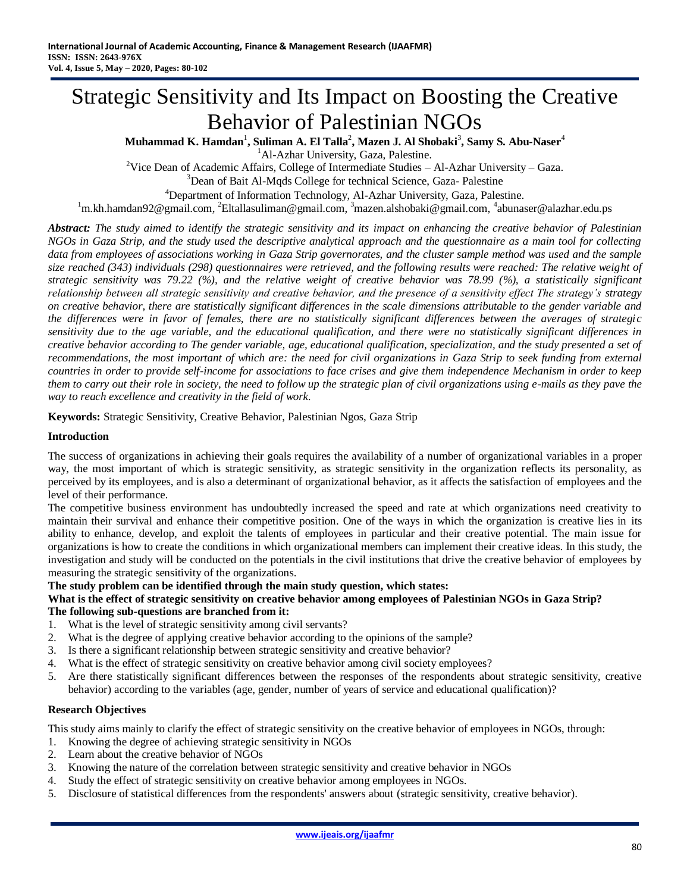# Strategic Sensitivity and Its Impact on Boosting the Creative Behavior of Palestinian NGOs

 $\mathbf{M}$ uhammad  $\mathbf{K}$ . Hamdan $^1$ , Suliman A. El Talla $^2$ , Mazen J. Al Shobaki $^3$ , Samy S. Abu-Naser $^4$ 

<sup>1</sup>Al-Azhar University, Gaza, Palestine.

<sup>2</sup>Vice Dean of Academic Affairs, College of Intermediate Studies  $-$  Al-Azhar University  $-$  Gaza. <sup>3</sup>Dean of Bait Al-Mqds College for technical Science, Gaza- Palestine

<sup>4</sup>Department of Information Technology, Al-Azhar University, Gaza, Palestine.

<sup>1</sup>[m.kh.hamdan92@gmail.com,](mailto:m.kh.hamdan92@gmail.com) <sup>2</sup>Eltallasuliman@gmail.com, <sup>3</sup>mazen.alshobaki@gmail.com, <sup>4</sup>abunaser@alazhar.edu.ps

*Abstract: The study aimed to identify the strategic sensitivity and its impact on enhancing the creative behavior of Palestinian NGOs in Gaza Strip, and the study used the descriptive analytical approach and the questionnaire as a main tool for collecting*  data from employees of associations working in Gaza Strip governorates, and the cluster sample method was used and the sample *size reached (343) individuals (298) questionnaires were retrieved, and the following results were reached: The relative weight of strategic sensitivity was 79.22 (%), and the relative weight of creative behavior was 78.99 (%), a statistically significant relationship between all strategic sensitivity and creative behavior, and the presence of a sensitivity effect The strategy's strategy on creative behavior, there are statistically significant differences in the scale dimensions attributable to the gender variable and the differences were in favor of females, there are no statistically significant differences between the averages of strategic sensitivity due to the age variable, and the educational qualification, and there were no statistically significant differences in creative behavior according to The gender variable, age, educational qualification, specialization, and the study presented a set of recommendations, the most important of which are: the need for civil organizations in Gaza Strip to seek funding from external countries in order to provide self-income for associations to face crises and give them independence Mechanism in order to keep them to carry out their role in society, the need to follow up the strategic plan of civil organizations using e-mails as they pave the way to reach excellence and creativity in the field of work.*

**Keywords:** Strategic Sensitivity, Creative Behavior, Palestinian Ngos, Gaza Strip

#### **Introduction**

The success of organizations in achieving their goals requires the availability of a number of organizational variables in a proper way, the most important of which is strategic sensitivity, as strategic sensitivity in the organization reflects its personality, as perceived by its employees, and is also a determinant of organizational behavior, as it affects the satisfaction of employees and the level of their performance.

The competitive business environment has undoubtedly increased the speed and rate at which organizations need creativity to maintain their survival and enhance their competitive position. One of the ways in which the organization is creative lies in its ability to enhance, develop, and exploit the talents of employees in particular and their creative potential. The main issue for organizations is how to create the conditions in which organizational members can implement their creative ideas. In this study, the investigation and study will be conducted on the potentials in the civil institutions that drive the creative behavior of employees by measuring the strategic sensitivity of the organizations.

#### **The study problem can be identified through the main study question, which states:**

#### **What is the effect of strategic sensitivity on creative behavior among employees of Palestinian NGOs in Gaza Strip? The following sub-questions are branched from it:**

- 1. What is the level of strategic sensitivity among civil servants?
- 2. What is the degree of applying creative behavior according to the opinions of the sample?
- 3. Is there a significant relationship between strategic sensitivity and creative behavior?
- 4. What is the effect of strategic sensitivity on creative behavior among civil society employees?
- 5. Are there statistically significant differences between the responses of the respondents about strategic sensitivity, creative behavior) according to the variables (age, gender, number of years of service and educational qualification)?

#### **Research Objectives**

This study aims mainly to clarify the effect of strategic sensitivity on the creative behavior of employees in NGOs, through:

- 1. Knowing the degree of achieving strategic sensitivity in NGOs
- 2. Learn about the creative behavior of NGOs
- 3. Knowing the nature of the correlation between strategic sensitivity and creative behavior in NGOs
- 4. Study the effect of strategic sensitivity on creative behavior among employees in NGOs.
- 5. Disclosure of statistical differences from the respondents' answers about (strategic sensitivity, creative behavior).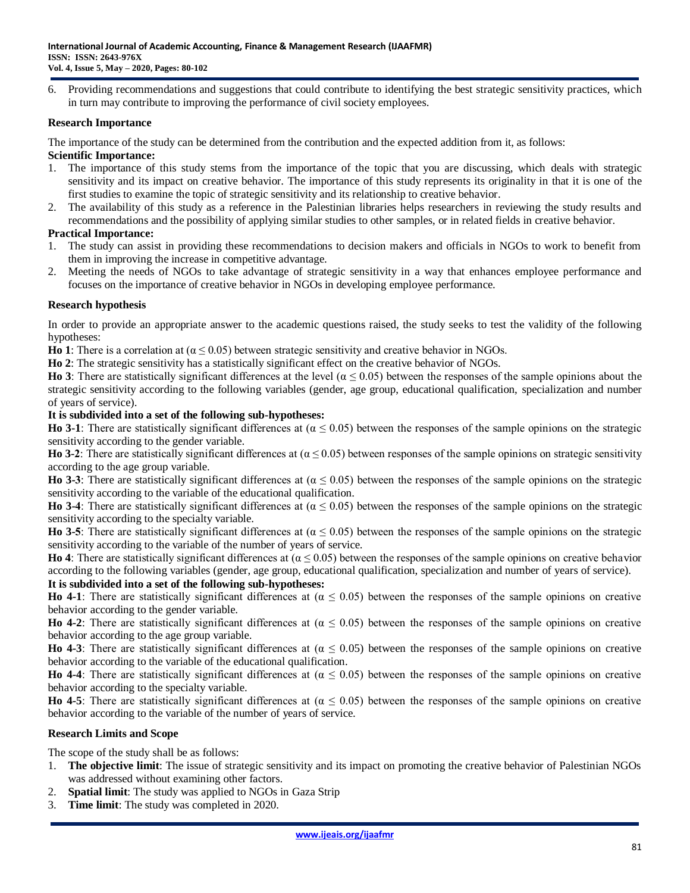6. Providing recommendations and suggestions that could contribute to identifying the best strategic sensitivity practices, which in turn may contribute to improving the performance of civil society employees.

#### **Research Importance**

The importance of the study can be determined from the contribution and the expected addition from it, as follows:

# **Scientific Importance:**

- 1. The importance of this study stems from the importance of the topic that you are discussing, which deals with strategic sensitivity and its impact on creative behavior. The importance of this study represents its originality in that it is one of the first studies to examine the topic of strategic sensitivity and its relationship to creative behavior.
- 2. The availability of this study as a reference in the Palestinian libraries helps researchers in reviewing the study results and recommendations and the possibility of applying similar studies to other samples, or in related fields in creative behavior.

# **Practical Importance:**

- 1. The study can assist in providing these recommendations to decision makers and officials in NGOs to work to benefit from them in improving the increase in competitive advantage.
- 2. Meeting the needs of NGOs to take advantage of strategic sensitivity in a way that enhances employee performance and focuses on the importance of creative behavior in NGOs in developing employee performance.

#### **Research hypothesis**

In order to provide an appropriate answer to the academic questions raised, the study seeks to test the validity of the following hypotheses:

**Ho 1**: There is a correlation at  $(α ≤ 0.05)$  between strategic sensitivity and creative behavior in NGOs.

**Ho 2**: The strategic sensitivity has a statistically significant effect on the creative behavior of NGOs.

**Ho 3**: There are statistically significant differences at the level ( $α ≤ 0.05$ ) between the responses of the sample opinions about the strategic sensitivity according to the following variables (gender, age group, educational qualification, specialization and number of years of service).

#### **It is subdivided into a set of the following sub-hypotheses:**

**Ho 3-1**: There are statistically significant differences at  $(α ≤ 0.05)$  between the responses of the sample opinions on the strategic sensitivity according to the gender variable.

**Ho 3-2**: There are statistically significant differences at  $(\alpha \le 0.05)$  between responses of the sample opinions on strategic sensitivity according to the age group variable.

**Ho 3-3**: There are statistically significant differences at  $(α ≤ 0.05)$  between the responses of the sample opinions on the strategic sensitivity according to the variable of the educational qualification.

**Ho 3-4**: There are statistically significant differences at  $(α ≤ 0.05)$  between the responses of the sample opinions on the strategic sensitivity according to the specialty variable.

**Ho 3-5**: There are statistically significant differences at  $(α ≤ 0.05)$  between the responses of the sample opinions on the strategic sensitivity according to the variable of the number of years of service.

**Ho 4**: There are statistically significant differences at  $(α ≤ 0.05)$  between the responses of the sample opinions on creative behavior according to the following variables (gender, age group, educational qualification, specialization and number of years of service).

### **It is subdivided into a set of the following sub-hypotheses:**

**Ho 4-1**: There are statistically significant differences at  $(α ≤ 0.05)$  between the responses of the sample opinions on creative behavior according to the gender variable.

**Ho 4-2**: There are statistically significant differences at  $(α ≤ 0.05)$  between the responses of the sample opinions on creative behavior according to the age group variable.

**Ho 4-3**: There are statistically significant differences at  $(α ≤ 0.05)$  between the responses of the sample opinions on creative behavior according to the variable of the educational qualification.

**Ho 4-4**: There are statistically significant differences at  $(α ≤ 0.05)$  between the responses of the sample opinions on creative behavior according to the specialty variable.

**Ho 4-5**: There are statistically significant differences at ( $α ≤ 0.05$ ) between the responses of the sample opinions on creative behavior according to the variable of the number of years of service.

#### **Research Limits and Scope**

The scope of the study shall be as follows:

- 1. **The objective limit**: The issue of strategic sensitivity and its impact on promoting the creative behavior of Palestinian NGOs was addressed without examining other factors.
- 2. **Spatial limit**: The study was applied to NGOs in Gaza Strip
- 3. **Time limit**: The study was completed in 2020.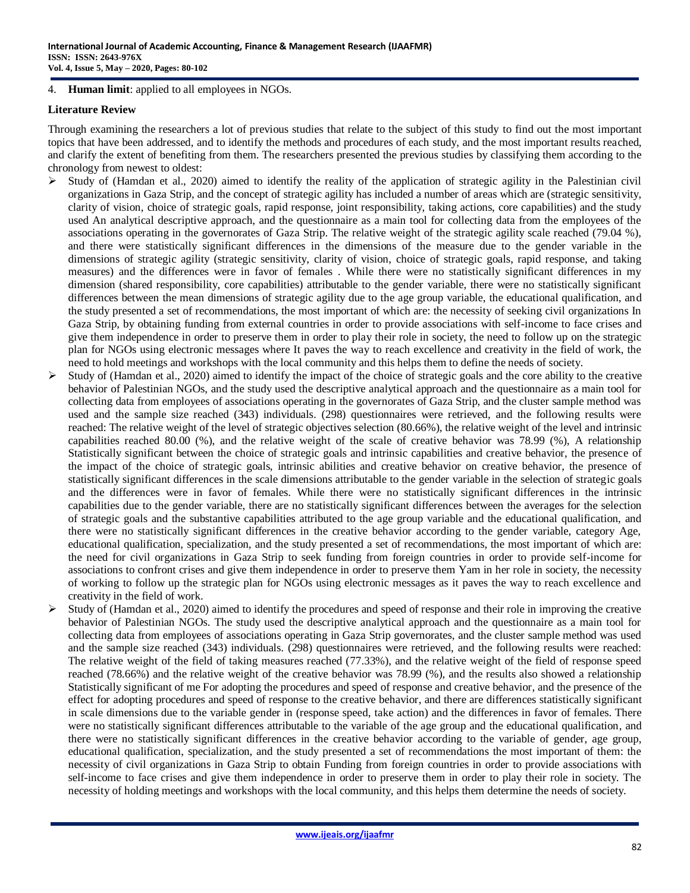#### 4. **Human limit**: applied to all employees in NGOs.

### **Literature Review**

Through examining the researchers a lot of previous studies that relate to the subject of this study to find out the most important topics that have been addressed, and to identify the methods and procedures of each study, and the most important results reached, and clarify the extent of benefiting from them. The researchers presented the previous studies by classifying them according to the chronology from newest to oldest:

- $\triangleright$  Study of (Hamdan et al., 2020) aimed to identify the reality of the application of strategic agility in the Palestinian civil organizations in Gaza Strip, and the concept of strategic agility has included a number of areas which are (strategic sensitivity, clarity of vision, choice of strategic goals, rapid response, joint responsibility, taking actions, core capabilities) and the study used An analytical descriptive approach, and the questionnaire as a main tool for collecting data from the employees of the associations operating in the governorates of Gaza Strip. The relative weight of the strategic agility scale reached (79.04 %), and there were statistically significant differences in the dimensions of the measure due to the gender variable in the dimensions of strategic agility (strategic sensitivity, clarity of vision, choice of strategic goals, rapid response, and taking measures) and the differences were in favor of females . While there were no statistically significant differences in my dimension (shared responsibility, core capabilities) attributable to the gender variable, there were no statistically significant differences between the mean dimensions of strategic agility due to the age group variable, the educational qualification, and the study presented a set of recommendations, the most important of which are: the necessity of seeking civil organizations In Gaza Strip, by obtaining funding from external countries in order to provide associations with self-income to face crises and give them independence in order to preserve them in order to play their role in society, the need to follow up on the strategic plan for NGOs using electronic messages where It paves the way to reach excellence and creativity in the field of work, the need to hold meetings and workshops with the local community and this helps them to define the needs of society.
- $\triangleright$  Study of (Hamdan et al., 2020) aimed to identify the impact of the choice of strategic goals and the core ability to the creative behavior of Palestinian NGOs, and the study used the descriptive analytical approach and the questionnaire as a main tool for collecting data from employees of associations operating in the governorates of Gaza Strip, and the cluster sample method was used and the sample size reached (343) individuals. (298) questionnaires were retrieved, and the following results were reached: The relative weight of the level of strategic objectives selection (80.66%), the relative weight of the level and intrinsic capabilities reached 80.00 (%), and the relative weight of the scale of creative behavior was 78.99 (%), A relationship Statistically significant between the choice of strategic goals and intrinsic capabilities and creative behavior, the presence of the impact of the choice of strategic goals, intrinsic abilities and creative behavior on creative behavior, the presence of statistically significant differences in the scale dimensions attributable to the gender variable in the selection of strategic goals and the differences were in favor of females. While there were no statistically significant differences in the intrinsic capabilities due to the gender variable, there are no statistically significant differences between the averages for the selection of strategic goals and the substantive capabilities attributed to the age group variable and the educational qualification, and there were no statistically significant differences in the creative behavior according to the gender variable, category Age, educational qualification, specialization, and the study presented a set of recommendations, the most important of which are: the need for civil organizations in Gaza Strip to seek funding from foreign countries in order to provide self-income for associations to confront crises and give them independence in order to preserve them Yam in her role in society, the necessity of working to follow up the strategic plan for NGOs using electronic messages as it paves the way to reach excellence and creativity in the field of work.
- $\triangleright$  Study of (Hamdan et al., 2020) aimed to identify the procedures and speed of response and their role in improving the creative behavior of Palestinian NGOs. The study used the descriptive analytical approach and the questionnaire as a main tool for collecting data from employees of associations operating in Gaza Strip governorates, and the cluster sample method was used and the sample size reached (343) individuals. (298) questionnaires were retrieved, and the following results were reached: The relative weight of the field of taking measures reached (77.33%), and the relative weight of the field of response speed reached (78.66%) and the relative weight of the creative behavior was 78.99 (%), and the results also showed a relationship Statistically significant of me For adopting the procedures and speed of response and creative behavior, and the presence of the effect for adopting procedures and speed of response to the creative behavior, and there are differences statistically significant in scale dimensions due to the variable gender in (response speed, take action) and the differences in favor of females. There were no statistically significant differences attributable to the variable of the age group and the educational qualification, and there were no statistically significant differences in the creative behavior according to the variable of gender, age group, educational qualification, specialization, and the study presented a set of recommendations the most important of them: the necessity of civil organizations in Gaza Strip to obtain Funding from foreign countries in order to provide associations with self-income to face crises and give them independence in order to preserve them in order to play their role in society. The necessity of holding meetings and workshops with the local community, and this helps them determine the needs of society.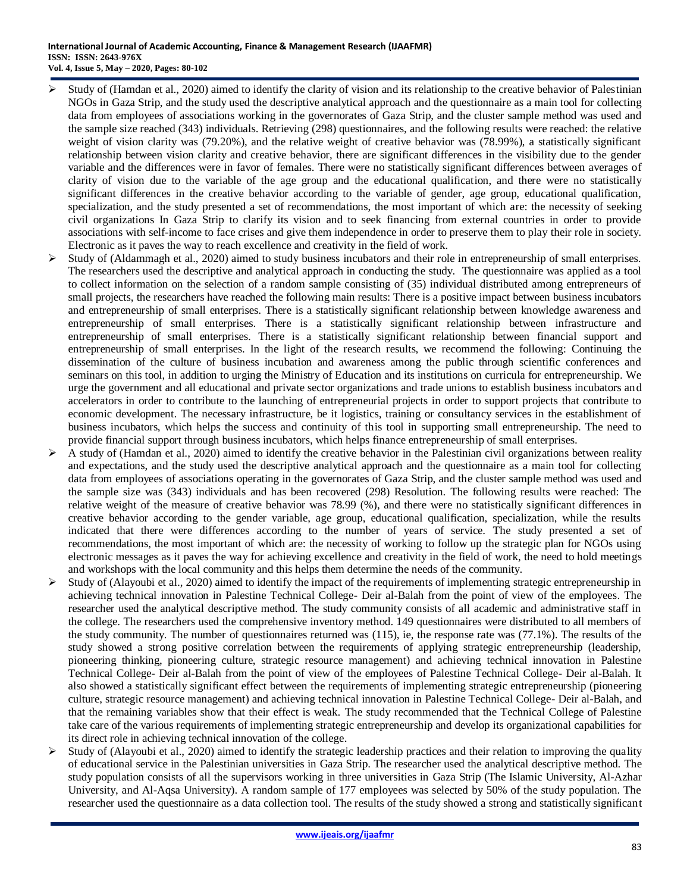- $\triangleright$  Study of (Hamdan et al., 2020) aimed to identify the clarity of vision and its relationship to the creative behavior of Palestinian NGOs in Gaza Strip, and the study used the descriptive analytical approach and the questionnaire as a main tool for collecting data from employees of associations working in the governorates of Gaza Strip, and the cluster sample method was used and the sample size reached (343) individuals. Retrieving (298) questionnaires, and the following results were reached: the relative weight of vision clarity was (79.20%), and the relative weight of creative behavior was (78.99%), a statistically significant relationship between vision clarity and creative behavior, there are significant differences in the visibility due to the gender variable and the differences were in favor of females. There were no statistically significant differences between averages of clarity of vision due to the variable of the age group and the educational qualification, and there were no statistically significant differences in the creative behavior according to the variable of gender, age group, educational qualification, specialization, and the study presented a set of recommendations, the most important of which are: the necessity of seeking civil organizations In Gaza Strip to clarify its vision and to seek financing from external countries in order to provide associations with self-income to face crises and give them independence in order to preserve them to play their role in society. Electronic as it paves the way to reach excellence and creativity in the field of work.
- Study of (Aldammagh et al., 2020) aimed to study business incubators and their role in entrepreneurship of small enterprises. The researchers used the descriptive and analytical approach in conducting the study. The questionnaire was applied as a tool to collect information on the selection of a random sample consisting of (35) individual distributed among entrepreneurs of small projects, the researchers have reached the following main results: There is a positive impact between business incubators and entrepreneurship of small enterprises. There is a statistically significant relationship between knowledge awareness and entrepreneurship of small enterprises. There is a statistically significant relationship between infrastructure and entrepreneurship of small enterprises. There is a statistically significant relationship between financial support and entrepreneurship of small enterprises. In the light of the research results, we recommend the following: Continuing the dissemination of the culture of business incubation and awareness among the public through scientific conferences and seminars on this tool, in addition to urging the Ministry of Education and its institutions on curricula for entrepreneurship. We urge the government and all educational and private sector organizations and trade unions to establish business incubators and accelerators in order to contribute to the launching of entrepreneurial projects in order to support projects that contribute to economic development. The necessary infrastructure, be it logistics, training or consultancy services in the establishment of business incubators, which helps the success and continuity of this tool in supporting small entrepreneurship. The need to provide financial support through business incubators, which helps finance entrepreneurship of small enterprises.
- $\triangleright$  A study of (Hamdan et al., 2020) aimed to identify the creative behavior in the Palestinian civil organizations between reality and expectations, and the study used the descriptive analytical approach and the questionnaire as a main tool for collecting data from employees of associations operating in the governorates of Gaza Strip, and the cluster sample method was used and the sample size was (343) individuals and has been recovered (298) Resolution. The following results were reached: The relative weight of the measure of creative behavior was 78.99 (%), and there were no statistically significant differences in creative behavior according to the gender variable, age group, educational qualification, specialization, while the results indicated that there were differences according to the number of years of service. The study presented a set of recommendations, the most important of which are: the necessity of working to follow up the strategic plan for NGOs using electronic messages as it paves the way for achieving excellence and creativity in the field of work, the need to hold meetings and workshops with the local community and this helps them determine the needs of the community.
- $\triangleright$  Study of (Alayoubi et al., 2020) aimed to identify the impact of the requirements of implementing strategic entrepreneurship in achieving technical innovation in Palestine Technical College- Deir al-Balah from the point of view of the employees. The researcher used the analytical descriptive method. The study community consists of all academic and administrative staff in the college. The researchers used the comprehensive inventory method. 149 questionnaires were distributed to all members of the study community. The number of questionnaires returned was (115), ie, the response rate was (77.1%). The results of the study showed a strong positive correlation between the requirements of applying strategic entrepreneurship (leadership, pioneering thinking, pioneering culture, strategic resource management) and achieving technical innovation in Palestine Technical College- Deir al-Balah from the point of view of the employees of Palestine Technical College- Deir al-Balah. It also showed a statistically significant effect between the requirements of implementing strategic entrepreneurship (pioneering culture, strategic resource management) and achieving technical innovation in Palestine Technical College- Deir al-Balah, and that the remaining variables show that their effect is weak. The study recommended that the Technical College of Palestine take care of the various requirements of implementing strategic entrepreneurship and develop its organizational capabilities for its direct role in achieving technical innovation of the college.
- $\triangleright$  Study of (Alayoubi et al., 2020) aimed to identify the strategic leadership practices and their relation to improving the quality of educational service in the Palestinian universities in Gaza Strip. The researcher used the analytical descriptive method. The study population consists of all the supervisors working in three universities in Gaza Strip (The Islamic University, Al-Azhar University, and Al-Aqsa University). A random sample of 177 employees was selected by 50% of the study population. The researcher used the questionnaire as a data collection tool. The results of the study showed a strong and statistically significant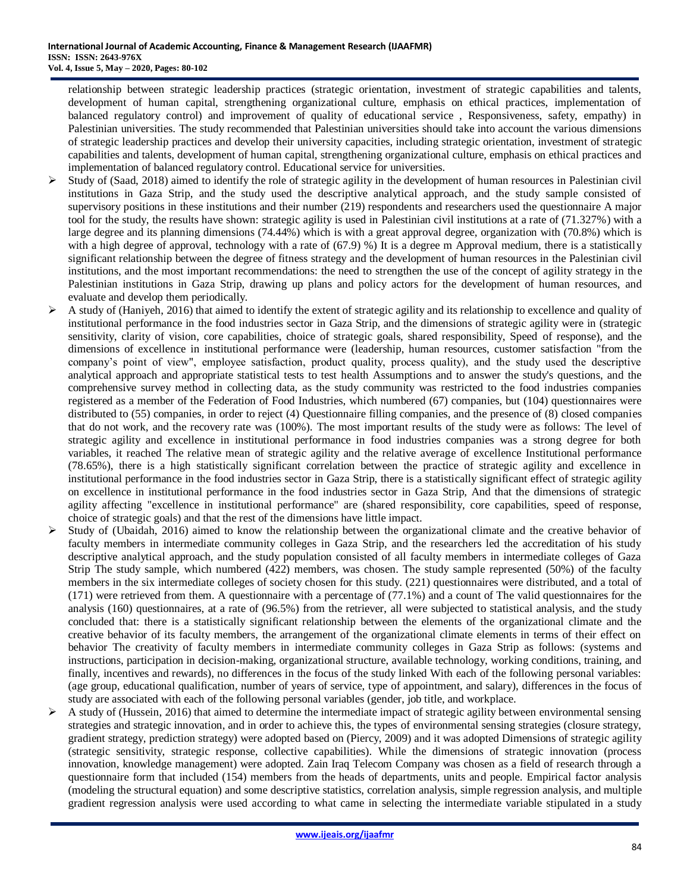relationship between strategic leadership practices (strategic orientation, investment of strategic capabilities and talents, development of human capital, strengthening organizational culture, emphasis on ethical practices, implementation of balanced regulatory control) and improvement of quality of educational service , Responsiveness, safety, empathy) in Palestinian universities. The study recommended that Palestinian universities should take into account the various dimensions of strategic leadership practices and develop their university capacities, including strategic orientation, investment of strategic capabilities and talents, development of human capital, strengthening organizational culture, emphasis on ethical practices and implementation of balanced regulatory control. Educational service for universities.

- $\triangleright$  Study of (Saad, 2018) aimed to identify the role of strategic agility in the development of human resources in Palestinian civil institutions in Gaza Strip, and the study used the descriptive analytical approach, and the study sample consisted of supervisory positions in these institutions and their number (219) respondents and researchers used the questionnaire A major tool for the study, the results have shown: strategic agility is used in Palestinian civil institutions at a rate of (71.327%) with a large degree and its planning dimensions (74.44%) which is with a great approval degree, organization with (70.8%) which is with a high degree of approval, technology with a rate of (67.9) %) It is a degree m Approval medium, there is a statistically significant relationship between the degree of fitness strategy and the development of human resources in the Palestinian civil institutions, and the most important recommendations: the need to strengthen the use of the concept of agility strategy in the Palestinian institutions in Gaza Strip, drawing up plans and policy actors for the development of human resources, and evaluate and develop them periodically.
- $\triangleright$  A study of (Haniyeh, 2016) that aimed to identify the extent of strategic agility and its relationship to excellence and quality of institutional performance in the food industries sector in Gaza Strip, and the dimensions of strategic agility were in (strategic sensitivity, clarity of vision, core capabilities, choice of strategic goals, shared responsibility, Speed of response), and the dimensions of excellence in institutional performance were (leadership, human resources, customer satisfaction "from the company's point of view", employee satisfaction, product quality, process quality), and the study used the descriptive analytical approach and appropriate statistical tests to test health Assumptions and to answer the study's questions, and the comprehensive survey method in collecting data, as the study community was restricted to the food industries companies registered as a member of the Federation of Food Industries, which numbered (67) companies, but (104) questionnaires were distributed to (55) companies, in order to reject (4) Questionnaire filling companies, and the presence of (8) closed companies that do not work, and the recovery rate was (100%). The most important results of the study were as follows: The level of strategic agility and excellence in institutional performance in food industries companies was a strong degree for both variables, it reached The relative mean of strategic agility and the relative average of excellence Institutional performance (78.65%), there is a high statistically significant correlation between the practice of strategic agility and excellence in institutional performance in the food industries sector in Gaza Strip, there is a statistically significant effect of strategic agility on excellence in institutional performance in the food industries sector in Gaza Strip, And that the dimensions of strategic agility affecting "excellence in institutional performance" are (shared responsibility, core capabilities, speed of response, choice of strategic goals) and that the rest of the dimensions have little impact.
- $\triangleright$  Study of (Ubaidah, 2016) aimed to know the relationship between the organizational climate and the creative behavior of faculty members in intermediate community colleges in Gaza Strip, and the researchers led the accreditation of his study descriptive analytical approach, and the study population consisted of all faculty members in intermediate colleges of Gaza Strip The study sample, which numbered (422) members, was chosen. The study sample represented (50%) of the faculty members in the six intermediate colleges of society chosen for this study. (221) questionnaires were distributed, and a total of (171) were retrieved from them. A questionnaire with a percentage of (77.1%) and a count of The valid questionnaires for the analysis (160) questionnaires, at a rate of (96.5%) from the retriever, all were subjected to statistical analysis, and the study concluded that: there is a statistically significant relationship between the elements of the organizational climate and the creative behavior of its faculty members, the arrangement of the organizational climate elements in terms of their effect on behavior The creativity of faculty members in intermediate community colleges in Gaza Strip as follows: (systems and instructions, participation in decision-making, organizational structure, available technology, working conditions, training, and finally, incentives and rewards), no differences in the focus of the study linked With each of the following personal variables: (age group, educational qualification, number of years of service, type of appointment, and salary), differences in the focus of study are associated with each of the following personal variables (gender, job title, and workplace.
- $\triangleright$  A study of (Hussein, 2016) that aimed to determine the intermediate impact of strategic agility between environmental sensing strategies and strategic innovation, and in order to achieve this, the types of environmental sensing strategies (closure strategy, gradient strategy, prediction strategy) were adopted based on (Piercy, 2009) and it was adopted Dimensions of strategic agility (strategic sensitivity, strategic response, collective capabilities). While the dimensions of strategic innovation (process innovation, knowledge management) were adopted. Zain Iraq Telecom Company was chosen as a field of research through a questionnaire form that included (154) members from the heads of departments, units and people. Empirical factor analysis (modeling the structural equation) and some descriptive statistics, correlation analysis, simple regression analysis, and multiple gradient regression analysis were used according to what came in selecting the intermediate variable stipulated in a study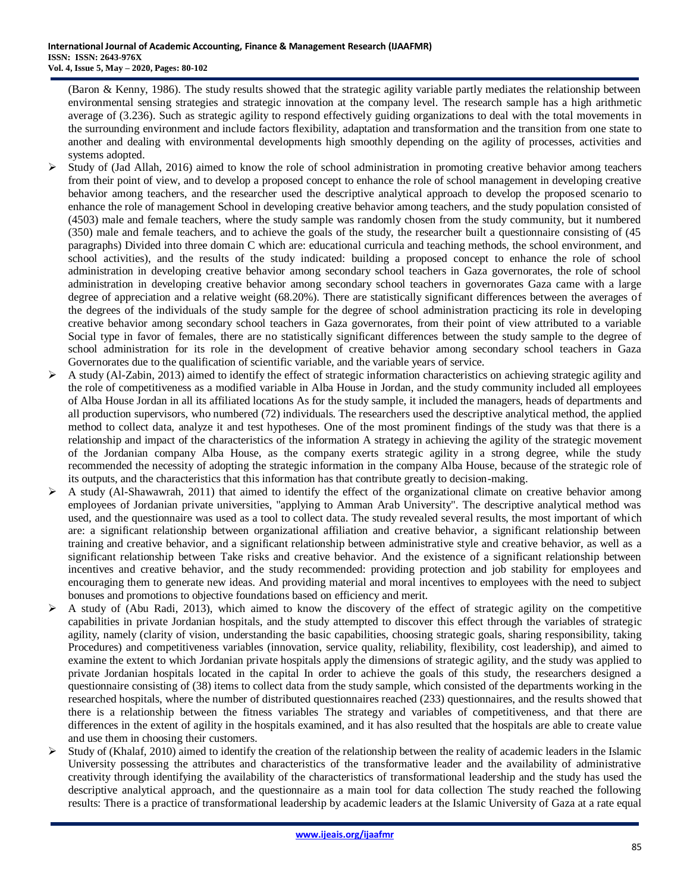(Baron & Kenny, 1986). The study results showed that the strategic agility variable partly mediates the relationship between environmental sensing strategies and strategic innovation at the company level. The research sample has a high arithmetic average of (3.236). Such as strategic agility to respond effectively guiding organizations to deal with the total movements in the surrounding environment and include factors flexibility, adaptation and transformation and the transition from one state to another and dealing with environmental developments high smoothly depending on the agility of processes, activities and systems adopted.

- $\triangleright$  Study of (Jad Allah, 2016) aimed to know the role of school administration in promoting creative behavior among teachers from their point of view, and to develop a proposed concept to enhance the role of school management in developing creative behavior among teachers, and the researcher used the descriptive analytical approach to develop the proposed scenario to enhance the role of management School in developing creative behavior among teachers, and the study population consisted of (4503) male and female teachers, where the study sample was randomly chosen from the study community, but it numbered (350) male and female teachers, and to achieve the goals of the study, the researcher built a questionnaire consisting of (45 paragraphs) Divided into three domain C which are: educational curricula and teaching methods, the school environment, and school activities), and the results of the study indicated: building a proposed concept to enhance the role of school administration in developing creative behavior among secondary school teachers in Gaza governorates, the role of school administration in developing creative behavior among secondary school teachers in governorates Gaza came with a large degree of appreciation and a relative weight (68.20%). There are statistically significant differences between the averages of the degrees of the individuals of the study sample for the degree of school administration practicing its role in developing creative behavior among secondary school teachers in Gaza governorates, from their point of view attributed to a variable Social type in favor of females, there are no statistically significant differences between the study sample to the degree of school administration for its role in the development of creative behavior among secondary school teachers in Gaza Governorates due to the qualification of scientific variable, and the variable years of service.
- $\triangleright$  A study (Al-Zabin, 2013) aimed to identify the effect of strategic information characteristics on achieving strategic agility and the role of competitiveness as a modified variable in Alba House in Jordan, and the study community included all employees of Alba House Jordan in all its affiliated locations As for the study sample, it included the managers, heads of departments and all production supervisors, who numbered (72) individuals. The researchers used the descriptive analytical method, the applied method to collect data, analyze it and test hypotheses. One of the most prominent findings of the study was that there is a relationship and impact of the characteristics of the information A strategy in achieving the agility of the strategic movement of the Jordanian company Alba House, as the company exerts strategic agility in a strong degree, while the study recommended the necessity of adopting the strategic information in the company Alba House, because of the strategic role of its outputs, and the characteristics that this information has that contribute greatly to decision-making.
- $\triangleright$  A study (Al-Shawawrah, 2011) that aimed to identify the effect of the organizational climate on creative behavior among employees of Jordanian private universities, "applying to Amman Arab University". The descriptive analytical method was used, and the questionnaire was used as a tool to collect data. The study revealed several results, the most important of which are: a significant relationship between organizational affiliation and creative behavior, a significant relationship between training and creative behavior, and a significant relationship between administrative style and creative behavior, as well as a significant relationship between Take risks and creative behavior. And the existence of a significant relationship between incentives and creative behavior, and the study recommended: providing protection and job stability for employees and encouraging them to generate new ideas. And providing material and moral incentives to employees with the need to subject bonuses and promotions to objective foundations based on efficiency and merit.
- $\triangleright$  A study of (Abu Radi, 2013), which aimed to know the discovery of the effect of strategic agility on the competitive capabilities in private Jordanian hospitals, and the study attempted to discover this effect through the variables of strategic agility, namely (clarity of vision, understanding the basic capabilities, choosing strategic goals, sharing responsibility, taking Procedures) and competitiveness variables (innovation, service quality, reliability, flexibility, cost leadership), and aimed to examine the extent to which Jordanian private hospitals apply the dimensions of strategic agility, and the study was applied to private Jordanian hospitals located in the capital In order to achieve the goals of this study, the researchers designed a questionnaire consisting of (38) items to collect data from the study sample, which consisted of the departments working in the researched hospitals, where the number of distributed questionnaires reached (233) questionnaires, and the results showed that there is a relationship between the fitness variables The strategy and variables of competitiveness, and that there are differences in the extent of agility in the hospitals examined, and it has also resulted that the hospitals are able to create value and use them in choosing their customers.
- $\triangleright$  Study of (Khalaf, 2010) aimed to identify the creation of the relationship between the reality of academic leaders in the Islamic University possessing the attributes and characteristics of the transformative leader and the availability of administrative creativity through identifying the availability of the characteristics of transformational leadership and the study has used the descriptive analytical approach, and the questionnaire as a main tool for data collection The study reached the following results: There is a practice of transformational leadership by academic leaders at the Islamic University of Gaza at a rate equal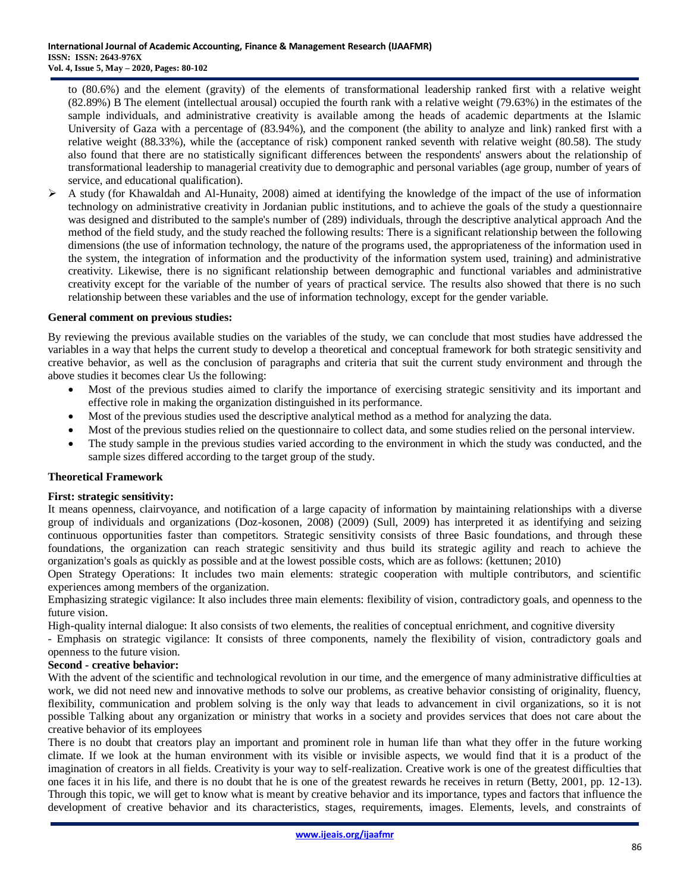to (80.6%) and the element (gravity) of the elements of transformational leadership ranked first with a relative weight (82.89%) B The element (intellectual arousal) occupied the fourth rank with a relative weight (79.63%) in the estimates of the sample individuals, and administrative creativity is available among the heads of academic departments at the Islamic University of Gaza with a percentage of (83.94%), and the component (the ability to analyze and link) ranked first with a relative weight (88.33%), while the (acceptance of risk) component ranked seventh with relative weight (80.58). The study also found that there are no statistically significant differences between the respondents' answers about the relationship of transformational leadership to managerial creativity due to demographic and personal variables (age group, number of years of service, and educational qualification).

 $\triangleright$  A study (for Khawaldah and Al-Hunaity, 2008) aimed at identifying the knowledge of the impact of the use of information technology on administrative creativity in Jordanian public institutions, and to achieve the goals of the study a questionnaire was designed and distributed to the sample's number of (289) individuals, through the descriptive analytical approach And the method of the field study, and the study reached the following results: There is a significant relationship between the following dimensions (the use of information technology, the nature of the programs used, the appropriateness of the information used in the system, the integration of information and the productivity of the information system used, training) and administrative creativity. Likewise, there is no significant relationship between demographic and functional variables and administrative creativity except for the variable of the number of years of practical service. The results also showed that there is no such relationship between these variables and the use of information technology, except for the gender variable.

#### **General comment on previous studies:**

By reviewing the previous available studies on the variables of the study, we can conclude that most studies have addressed the variables in a way that helps the current study to develop a theoretical and conceptual framework for both strategic sensitivity and creative behavior, as well as the conclusion of paragraphs and criteria that suit the current study environment and through the above studies it becomes clear Us the following:

- Most of the previous studies aimed to clarify the importance of exercising strategic sensitivity and its important and effective role in making the organization distinguished in its performance.
- Most of the previous studies used the descriptive analytical method as a method for analyzing the data.
- Most of the previous studies relied on the questionnaire to collect data, and some studies relied on the personal interview.
- The study sample in the previous studies varied according to the environment in which the study was conducted, and the sample sizes differed according to the target group of the study.

#### **Theoretical Framework**

#### **First: strategic sensitivity:**

It means openness, clairvoyance, and notification of a large capacity of information by maintaining relationships with a diverse group of individuals and organizations (Doz-kosonen, 2008) (2009) (Sull, 2009) has interpreted it as identifying and seizing continuous opportunities faster than competitors. Strategic sensitivity consists of three Basic foundations, and through these foundations, the organization can reach strategic sensitivity and thus build its strategic agility and reach to achieve the organization's goals as quickly as possible and at the lowest possible costs, which are as follows: (kettunen; 2010)

Open Strategy Operations: It includes two main elements: strategic cooperation with multiple contributors, and scientific experiences among members of the organization.

Emphasizing strategic vigilance: It also includes three main elements: flexibility of vision, contradictory goals, and openness to the future vision.

High-quality internal dialogue: It also consists of two elements, the realities of conceptual enrichment, and cognitive diversity

- Emphasis on strategic vigilance: It consists of three components, namely the flexibility of vision, contradictory goals and openness to the future vision.

#### **Second - creative behavior:**

With the advent of the scientific and technological revolution in our time, and the emergence of many administrative difficulties at work, we did not need new and innovative methods to solve our problems, as creative behavior consisting of originality, fluency, flexibility, communication and problem solving is the only way that leads to advancement in civil organizations, so it is not possible Talking about any organization or ministry that works in a society and provides services that does not care about the creative behavior of its employees

There is no doubt that creators play an important and prominent role in human life than what they offer in the future working climate. If we look at the human environment with its visible or invisible aspects, we would find that it is a product of the imagination of creators in all fields. Creativity is your way to self-realization. Creative work is one of the greatest difficulties that one faces it in his life, and there is no doubt that he is one of the greatest rewards he receives in return (Betty, 2001, pp. 12-13). Through this topic, we will get to know what is meant by creative behavior and its importance, types and factors that influence the development of creative behavior and its characteristics, stages, requirements, images. Elements, levels, and constraints of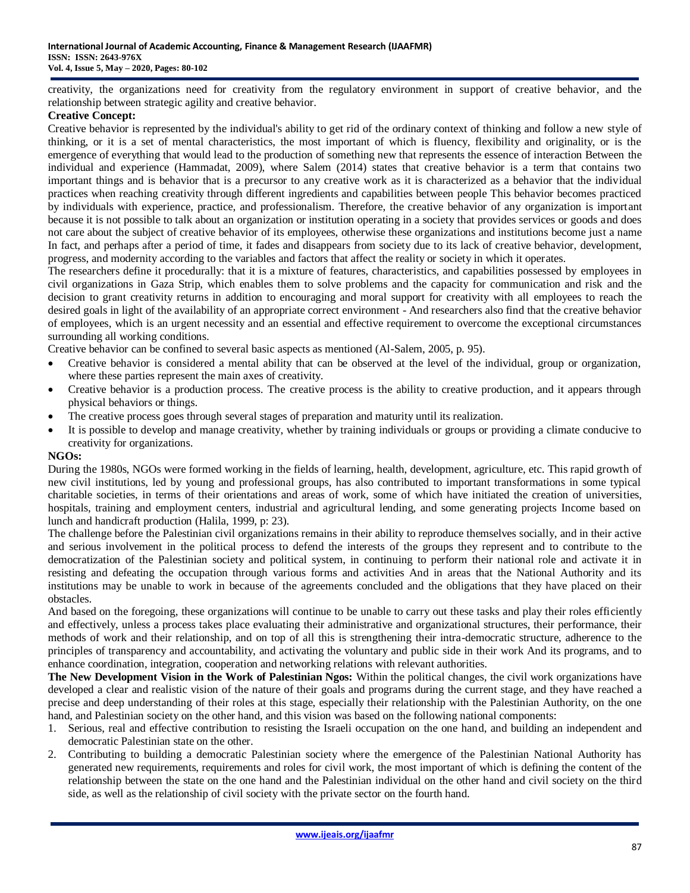creativity, the organizations need for creativity from the regulatory environment in support of creative behavior, and the relationship between strategic agility and creative behavior.

# **Creative Concept:**

Creative behavior is represented by the individual's ability to get rid of the ordinary context of thinking and follow a new style of thinking, or it is a set of mental characteristics, the most important of which is fluency, flexibility and originality, or is the emergence of everything that would lead to the production of something new that represents the essence of interaction Between the individual and experience (Hammadat, 2009), where Salem (2014) states that creative behavior is a term that contains two important things and is behavior that is a precursor to any creative work as it is characterized as a behavior that the individual practices when reaching creativity through different ingredients and capabilities between people This behavior becomes practiced by individuals with experience, practice, and professionalism. Therefore, the creative behavior of any organization is important because it is not possible to talk about an organization or institution operating in a society that provides services or goods and does not care about the subject of creative behavior of its employees, otherwise these organizations and institutions become just a name In fact, and perhaps after a period of time, it fades and disappears from society due to its lack of creative behavior, development, progress, and modernity according to the variables and factors that affect the reality or society in which it operates.

The researchers define it procedurally: that it is a mixture of features, characteristics, and capabilities possessed by employees in civil organizations in Gaza Strip, which enables them to solve problems and the capacity for communication and risk and the decision to grant creativity returns in addition to encouraging and moral support for creativity with all employees to reach the desired goals in light of the availability of an appropriate correct environment - And researchers also find that the creative behavior of employees, which is an urgent necessity and an essential and effective requirement to overcome the exceptional circumstances surrounding all working conditions.

Creative behavior can be confined to several basic aspects as mentioned (Al-Salem, 2005, p. 95).

- Creative behavior is considered a mental ability that can be observed at the level of the individual, group or organization, where these parties represent the main axes of creativity.
- Creative behavior is a production process. The creative process is the ability to creative production, and it appears through physical behaviors or things.
- The creative process goes through several stages of preparation and maturity until its realization.
- It is possible to develop and manage creativity, whether by training individuals or groups or providing a climate conducive to creativity for organizations.

#### **NGOs:**

During the 1980s, NGOs were formed working in the fields of learning, health, development, agriculture, etc. This rapid growth of new civil institutions, led by young and professional groups, has also contributed to important transformations in some typical charitable societies, in terms of their orientations and areas of work, some of which have initiated the creation of universities, hospitals, training and employment centers, industrial and agricultural lending, and some generating projects Income based on lunch and handicraft production (Halila, 1999, p: 23).

The challenge before the Palestinian civil organizations remains in their ability to reproduce themselves socially, and in their active and serious involvement in the political process to defend the interests of the groups they represent and to contribute to the democratization of the Palestinian society and political system, in continuing to perform their national role and activate it in resisting and defeating the occupation through various forms and activities And in areas that the National Authority and its institutions may be unable to work in because of the agreements concluded and the obligations that they have placed on their obstacles.

And based on the foregoing, these organizations will continue to be unable to carry out these tasks and play their roles efficiently and effectively, unless a process takes place evaluating their administrative and organizational structures, their performance, their methods of work and their relationship, and on top of all this is strengthening their intra-democratic structure, adherence to the principles of transparency and accountability, and activating the voluntary and public side in their work And its programs, and to enhance coordination, integration, cooperation and networking relations with relevant authorities.

**The New Development Vision in the Work of Palestinian Ngos:** Within the political changes, the civil work organizations have developed a clear and realistic vision of the nature of their goals and programs during the current stage, and they have reached a precise and deep understanding of their roles at this stage, especially their relationship with the Palestinian Authority, on the one hand, and Palestinian society on the other hand, and this vision was based on the following national components:

- 1. Serious, real and effective contribution to resisting the Israeli occupation on the one hand, and building an independent and democratic Palestinian state on the other.
- 2. Contributing to building a democratic Palestinian society where the emergence of the Palestinian National Authority has generated new requirements, requirements and roles for civil work, the most important of which is defining the content of the relationship between the state on the one hand and the Palestinian individual on the other hand and civil society on the third side, as well as the relationship of civil society with the private sector on the fourth hand.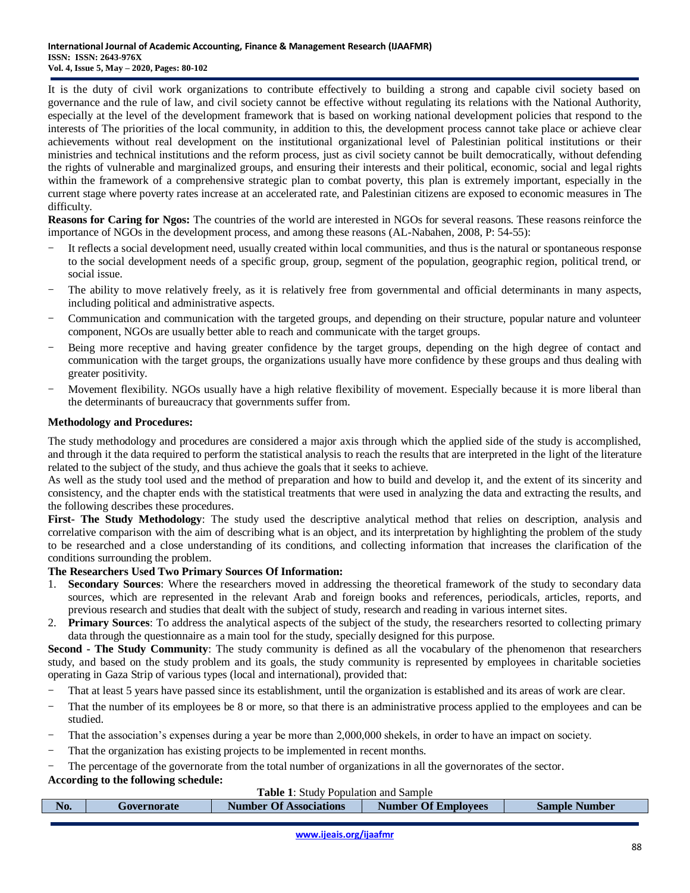It is the duty of civil work organizations to contribute effectively to building a strong and capable civil society based on governance and the rule of law, and civil society cannot be effective without regulating its relations with the National Authority, especially at the level of the development framework that is based on working national development policies that respond to the interests of The priorities of the local community, in addition to this, the development process cannot take place or achieve clear achievements without real development on the institutional organizational level of Palestinian political institutions or their ministries and technical institutions and the reform process, just as civil society cannot be built democratically, without defending the rights of vulnerable and marginalized groups, and ensuring their interests and their political, economic, social and legal rights within the framework of a comprehensive strategic plan to combat poverty, this plan is extremely important, especially in the current stage where poverty rates increase at an accelerated rate, and Palestinian citizens are exposed to economic measures in The difficulty.

**Reasons for Caring for Ngos:** The countries of the world are interested in NGOs for several reasons. These reasons reinforce the importance of NGOs in the development process, and among these reasons (AL-Nabahen, 2008, P: 54-55):

- It reflects a social development need, usually created within local communities, and thus is the natural or spontaneous response to the social development needs of a specific group, group, segment of the population, geographic region, political trend, or social issue.
- The ability to move relatively freely, as it is relatively free from governmental and official determinants in many aspects, including political and administrative aspects.
- Communication and communication with the targeted groups, and depending on their structure, popular nature and volunteer component, NGOs are usually better able to reach and communicate with the target groups.
- Being more receptive and having greater confidence by the target groups, depending on the high degree of contact and communication with the target groups, the organizations usually have more confidence by these groups and thus dealing with greater positivity.
- Movement flexibility. NGOs usually have a high relative flexibility of movement. Especially because it is more liberal than the determinants of bureaucracy that governments suffer from.

# **Methodology and Procedures:**

The study methodology and procedures are considered a major axis through which the applied side of the study is accomplished, and through it the data required to perform the statistical analysis to reach the results that are interpreted in the light of the literature related to the subject of the study, and thus achieve the goals that it seeks to achieve.

As well as the study tool used and the method of preparation and how to build and develop it, and the extent of its sincerity and consistency, and the chapter ends with the statistical treatments that were used in analyzing the data and extracting the results, and the following describes these procedures.

**First- The Study Methodology**: The study used the descriptive analytical method that relies on description, analysis and correlative comparison with the aim of describing what is an object, and its interpretation by highlighting the problem of the study to be researched and a close understanding of its conditions, and collecting information that increases the clarification of the conditions surrounding the problem.

### **The Researchers Used Two Primary Sources Of Information:**

- 1. **Secondary Sources**: Where the researchers moved in addressing the theoretical framework of the study to secondary data sources, which are represented in the relevant Arab and foreign books and references, periodicals, articles, reports, and previous research and studies that dealt with the subject of study, research and reading in various internet sites.
- 2. **Primary Sources**: To address the analytical aspects of the subject of the study, the researchers resorted to collecting primary data through the questionnaire as a main tool for the study, specially designed for this purpose.

**Second - The Study Community**: The study community is defined as all the vocabulary of the phenomenon that researchers study, and based on the study problem and its goals, the study community is represented by employees in charitable societies operating in Gaza Strip of various types (local and international), provided that:

- That at least 5 years have passed since its establishment, until the organization is established and its areas of work are clear.
- That the number of its employees be 8 or more, so that there is an administrative process applied to the employees and can be studied.
- That the association's expenses during a year be more than 2,000,000 shekels, in order to have an impact on society.
- That the organization has existing projects to be implemented in recent months.
- The percentage of the governorate from the total number of organizations in all the governorates of the sector.

### **According to the following schedule:**

### **Table 1**: Study Population and Sample

| No. | Governorate | <b>Number Of Associations</b> | <b>Number Of Employees</b> | <b>Sample Number</b> |
|-----|-------------|-------------------------------|----------------------------|----------------------|
|     |             |                               |                            |                      |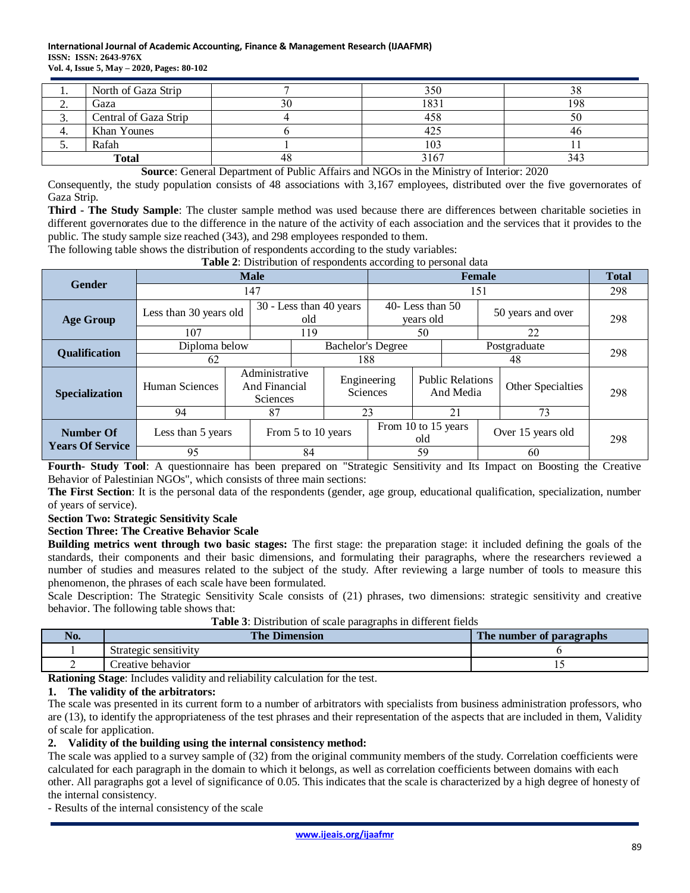| . .      | North of Gaza Strip   |    | 350  |     |
|----------|-----------------------|----|------|-----|
| <u>.</u> | Gaza                  | 30 | 1831 | 198 |
| J.       | Central of Gaza Strip |    | 458  | 50  |
| 4.       | Khan Younes           |    | 425  | 40  |
| <u>.</u> | Rafah                 |    | 103  |     |
|          | <b>Total</b>          | 48 | 3167 | 343 |

**Source**: General Department of Public Affairs and NGOs in the Ministry of Interior: 2020

Consequently, the study population consists of 48 associations with 3,167 employees, distributed over the five governorates of Gaza Strip.

**Third - The Study Sample**: The cluster sample method was used because there are differences between charitable societies in different governorates due to the difference in the nature of the activity of each association and the services that it provides to the public. The study sample size reached (343), and 298 employees responded to them.

The following table shows the distribution of respondents according to the study variables:

**Table 2**: Distribution of respondents according to personal data

|                         | <b>Male</b>            |  |                                                    |                    | <b>Female</b>                  |                     |                   |                                      | <b>Total</b> |                   |     |
|-------------------------|------------------------|--|----------------------------------------------------|--------------------|--------------------------------|---------------------|-------------------|--------------------------------------|--------------|-------------------|-----|
| <b>Gender</b>           | 147                    |  |                                                    |                    |                                | 151                 |                   |                                      |              | 298               |     |
| <b>Age Group</b>        | Less than 30 years old |  | 30 - Less than 40 years<br>old                     |                    | 40-Less than $50$<br>vears old |                     | 50 years and over |                                      | 298          |                   |     |
|                         | 107                    |  | 119                                                |                    |                                | 50                  |                   |                                      | 22           |                   |     |
| <b>Qualification</b>    | Diploma below          |  | <b>Bachelor's Degree</b>                           |                    |                                |                     |                   | Postgraduate                         |              | 298               |     |
|                         | 62                     |  |                                                    |                    | 188                            |                     | 48                |                                      |              |                   |     |
| <b>Specialization</b>   | Human Sciences         |  | Administrative<br>And Financial<br><b>Sciences</b> |                    | Sciences                       | Engineering         |                   | <b>Public Relations</b><br>And Media |              | Other Specialties | 298 |
|                         | 94                     |  | 87                                                 |                    | 23                             |                     |                   | 21                                   |              | 73                |     |
| <b>Number Of</b>        | Less than 5 years      |  |                                                    | From 5 to 10 years |                                | From 10 to 15 years | old               |                                      |              | Over 15 years old | 298 |
| <b>Years Of Service</b> | 95                     |  |                                                    | 84                 |                                | 59                  |                   |                                      |              | 60                |     |

**Fourth- Study Tool**: A questionnaire has been prepared on "Strategic Sensitivity and Its Impact on Boosting the Creative Behavior of Palestinian NGOs", which consists of three main sections:

**The First Section**: It is the personal data of the respondents (gender, age group, educational qualification, specialization, number of years of service).

#### **Section Two: Strategic Sensitivity Scale**

#### **Section Three: The Creative Behavior Scale**

**Building metrics went through two basic stages:** The first stage: the preparation stage: it included defining the goals of the standards, their components and their basic dimensions, and formulating their paragraphs, where the researchers reviewed a number of studies and measures related to the subject of the study. After reviewing a large number of tools to measure this phenomenon, the phrases of each scale have been formulated.

Scale Description: The Strategic Sensitivity Scale consists of (21) phrases, two dimensions: strategic sensitivity and creative behavior. The following table shows that:

**Table 3**: Distribution of scale paragraphs in different fields

| NO. | <b>The Dimension</b>  | The number of paragraphs |
|-----|-----------------------|--------------------------|
|     | Strategic sensitivity |                          |
|     | Creative behavior     |                          |

**Rationing Stage**: Includes validity and reliability calculation for the test.

#### **1. The validity of the arbitrators:**

The scale was presented in its current form to a number of arbitrators with specialists from business administration professors, who are (13), to identify the appropriateness of the test phrases and their representation of the aspects that are included in them, Validity of scale for application.

#### **2. Validity of the building using the internal consistency method:**

The scale was applied to a survey sample of (32) from the original community members of the study. Correlation coefficients were calculated for each paragraph in the domain to which it belongs, as well as correlation coefficients between domains with each other. All paragraphs got a level of significance of 0.05. This indicates that the scale is characterized by a high degree of honesty of the internal consistency.

- Results of the internal consistency of the scale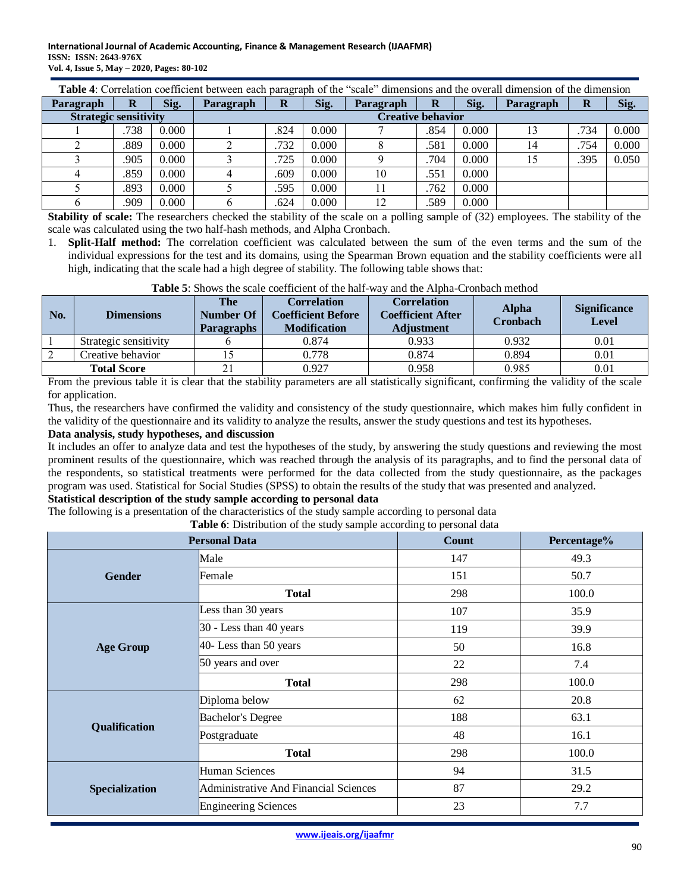#### **International Journal of Academic Accounting, Finance & Management Research (IJAAFMR) ISSN: ISSN: 2643-976X Vol. 4, Issue 5, May – 2020, Pages: 80-102**

|                              | Table 4: Correlation coefficient between each paragraph of the "scale" dimensions and the overall dimension of the dimension |       |           |          |       |                          |      |       |           |      |       |  |
|------------------------------|------------------------------------------------------------------------------------------------------------------------------|-------|-----------|----------|-------|--------------------------|------|-------|-----------|------|-------|--|
| Paragraph                    | R                                                                                                                            | Sig.  | Paragraph | $\bf{R}$ | Sig.  | Paragraph                | R    | Sig.  | Paragraph | R    | Sig.  |  |
| <b>Strategic sensitivity</b> |                                                                                                                              |       |           |          |       | <b>Creative behavior</b> |      |       |           |      |       |  |
|                              | .738                                                                                                                         | 0.000 |           | .824     | 0.000 |                          | .854 | 0.000 | 13        | .734 | 0.000 |  |
|                              | .889                                                                                                                         | 0.000 |           | .732     | 0.000 |                          | .581 | 0.000 | 14        | .754 | 0.000 |  |
|                              | .905                                                                                                                         | 0.000 |           | .725     | 0.000 |                          | .704 | 0.000 | 15        | .395 | 0.050 |  |
|                              | .859                                                                                                                         | 0.000 |           | .609     | 0.000 | 10                       | .551 | 0.000 |           |      |       |  |
|                              | .893                                                                                                                         | 0.000 |           | .595     | 0.000 |                          | .762 | 0.000 |           |      |       |  |
| O                            | .909                                                                                                                         | 0.000 |           | .624     | 0.000 | 12                       | .589 | 0.000 |           |      |       |  |

**Stability of scale:** The researchers checked the stability of the scale on a polling sample of (32) employees. The stability of the scale was calculated using the two half-hash methods, and Alpha Cronbach.

1. **Split-Half method:** The correlation coefficient was calculated between the sum of the even terms and the sum of the individual expressions for the test and its domains, using the Spearman Brown equation and the stability coefficients were all high, indicating that the scale had a high degree of stability. The following table shows that:

| No. | <b>Dimensions</b>     | <b>The</b><br>Number Of<br><b>Paragraphs</b> | <b>Correlation</b><br><b>Coefficient Before</b><br><b>Modification</b> | <b>Correlation</b><br><b>Coefficient After</b><br><b>Adjustment</b> | <b>Alpha</b><br><b>Cronbach</b> | <b>Significance</b><br><b>Level</b> |
|-----|-----------------------|----------------------------------------------|------------------------------------------------------------------------|---------------------------------------------------------------------|---------------------------------|-------------------------------------|
|     | Strategic sensitivity |                                              | 0.874                                                                  | 0.933                                                               | 0.932                           | $0.01\,$                            |
|     | Creative behavior     |                                              | 0.778                                                                  | 0.874                                                               | 0.894                           | 0.01                                |
|     | <b>Total Score</b>    |                                              | 0.927                                                                  | 0.958                                                               | 0.985                           | 0.01                                |

**Table 5**: Shows the scale coefficient of the half-way and the Alpha-Cronbach method

From the previous table it is clear that the stability parameters are all statistically significant, confirming the validity of the scale for application.

Thus, the researchers have confirmed the validity and consistency of the study questionnaire, which makes him fully confident in the validity of the questionnaire and its validity to analyze the results, answer the study questions and test its hypotheses.

### **Data analysis, study hypotheses, and discussion**

It includes an offer to analyze data and test the hypotheses of the study, by answering the study questions and reviewing the most prominent results of the questionnaire, which was reached through the analysis of its paragraphs, and to find the personal data of the respondents, so statistical treatments were performed for the data collected from the study questionnaire, as the packages program was used. Statistical for Social Studies (SPSS) to obtain the results of the study that was presented and analyzed.

# **Statistical description of the study sample according to personal data**

The following is a presentation of the characteristics of the study sample according to personal data

**Table 6**: Distribution of the study sample according to personal data

|                       | <b>Personal Data</b>                  | <b>Count</b> | Percentage% |
|-----------------------|---------------------------------------|--------------|-------------|
|                       | Male                                  | 147          | 49.3        |
| <b>Gender</b>         | Female                                | 151          | 50.7        |
|                       | <b>Total</b>                          | 298          | 100.0       |
|                       | Less than 30 years                    | 107          | 35.9        |
|                       | 30 - Less than 40 years               | 119          | 39.9        |
| <b>Age Group</b>      | 40- Less than 50 years                | 50           | 16.8        |
|                       | 50 years and over                     | 22           | 7.4         |
|                       | <b>Total</b>                          | 298          | 100.0       |
|                       | Diploma below                         | 62           | 20.8        |
|                       | <b>Bachelor's Degree</b>              | 188          | 63.1        |
| Qualification         | Postgraduate                          | 48           | 16.1        |
|                       | <b>Total</b>                          | 298          | 100.0       |
|                       | Human Sciences                        | 94           | 31.5        |
| <b>Specialization</b> | Administrative And Financial Sciences | 87           | 29.2        |
|                       | <b>Engineering Sciences</b>           | 23           | 7.7         |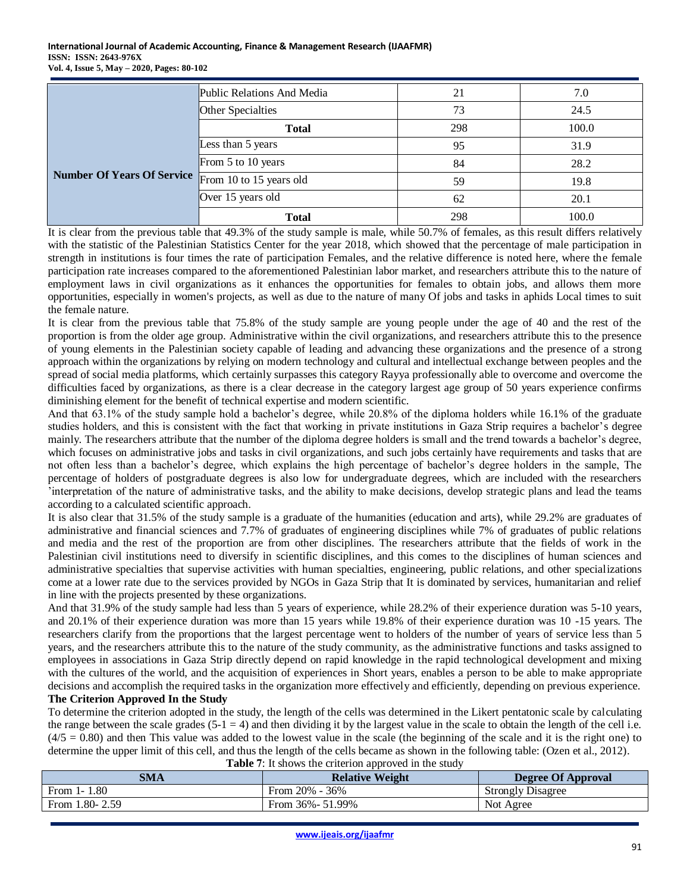|                                   | Public Relations And Media | 21  | 7.0   |
|-----------------------------------|----------------------------|-----|-------|
|                                   | Other Specialties          | 73  | 24.5  |
|                                   | <b>Total</b>               | 298 | 100.0 |
|                                   | Less than 5 years          | 95  | 31.9  |
|                                   | From 5 to 10 years         | 84  | 28.2  |
| <b>Number Of Years Of Service</b> | From 10 to 15 years old    | 59  | 19.8  |
|                                   | Over 15 years old          | 62  | 20.1  |
|                                   | <b>Total</b>               | 298 | 100.0 |

It is clear from the previous table that 49.3% of the study sample is male, while 50.7% of females, as this result differs relatively with the statistic of the Palestinian Statistics Center for the year 2018, which showed that the percentage of male participation in strength in institutions is four times the rate of participation Females, and the relative difference is noted here, where the female participation rate increases compared to the aforementioned Palestinian labor market, and researchers attribute this to the nature of employment laws in civil organizations as it enhances the opportunities for females to obtain jobs, and allows them more opportunities, especially in women's projects, as well as due to the nature of many Of jobs and tasks in aphids Local times to suit the female nature.

It is clear from the previous table that 75.8% of the study sample are young people under the age of 40 and the rest of the proportion is from the older age group. Administrative within the civil organizations, and researchers attribute this to the presence of young elements in the Palestinian society capable of leading and advancing these organizations and the presence of a strong approach within the organizations by relying on modern technology and cultural and intellectual exchange between peoples and the spread of social media platforms, which certainly surpasses this category Rayya professionally able to overcome and overcome the difficulties faced by organizations, as there is a clear decrease in the category largest age group of 50 years experience confirms diminishing element for the benefit of technical expertise and modern scientific.

And that 63.1% of the study sample hold a bachelor's degree, while 20.8% of the diploma holders while 16.1% of the graduate studies holders, and this is consistent with the fact that working in private institutions in Gaza Strip requires a bachelor's degree mainly. The researchers attribute that the number of the diploma degree holders is small and the trend towards a bachelor's degree, which focuses on administrative jobs and tasks in civil organizations, and such jobs certainly have requirements and tasks that are not often less than a bachelor's degree, which explains the high percentage of bachelor's degree holders in the sample, The percentage of holders of postgraduate degrees is also low for undergraduate degrees, which are included with the researchers 'interpretation of the nature of administrative tasks, and the ability to make decisions, develop strategic plans and lead the teams according to a calculated scientific approach.

It is also clear that 31.5% of the study sample is a graduate of the humanities (education and arts), while 29.2% are graduates of administrative and financial sciences and 7.7% of graduates of engineering disciplines while 7% of graduates of public relations and media and the rest of the proportion are from other disciplines. The researchers attribute that the fields of work in the Palestinian civil institutions need to diversify in scientific disciplines, and this comes to the disciplines of human sciences and administrative specialties that supervise activities with human specialties, engineering, public relations, and other specializations come at a lower rate due to the services provided by NGOs in Gaza Strip that It is dominated by services, humanitarian and relief in line with the projects presented by these organizations.

And that 31.9% of the study sample had less than 5 years of experience, while 28.2% of their experience duration was 5-10 years, and 20.1% of their experience duration was more than 15 years while 19.8% of their experience duration was 10 -15 years. The researchers clarify from the proportions that the largest percentage went to holders of the number of years of service less than 5 years, and the researchers attribute this to the nature of the study community, as the administrative functions and tasks assigned to employees in associations in Gaza Strip directly depend on rapid knowledge in the rapid technological development and mixing with the cultures of the world, and the acquisition of experiences in Short years, enables a person to be able to make appropriate decisions and accomplish the required tasks in the organization more effectively and efficiently, depending on previous experience. **The Criterion Approved In the Study**

To determine the criterion adopted in the study, the length of the cells was determined in the Likert pentatonic scale by calculating the range between the scale grades  $(5-1) = 4$  and then dividing it by the largest value in the scale to obtain the length of the cell i.e.  $(4/5 = 0.80)$  and then This value was added to the lowest value in the scale (the beginning of the scale and it is the right one) to determine the upper limit of this cell, and thus the length of the cells became as shown in the following table: (Ozen et al., 2012). **Table 7:** It shows the criterion approved in the study

| <b>SMA</b>         | <b>Relative Weight</b> | <b>Degree Of Approval</b> |
|--------------------|------------------------|---------------------------|
| From $1-1.80$      | From $20\%$ - 36%      | <b>Strongly Disagree</b>  |
| From $1.80 - 2.59$ | From $36\% - 51.99\%$  | Not Agree                 |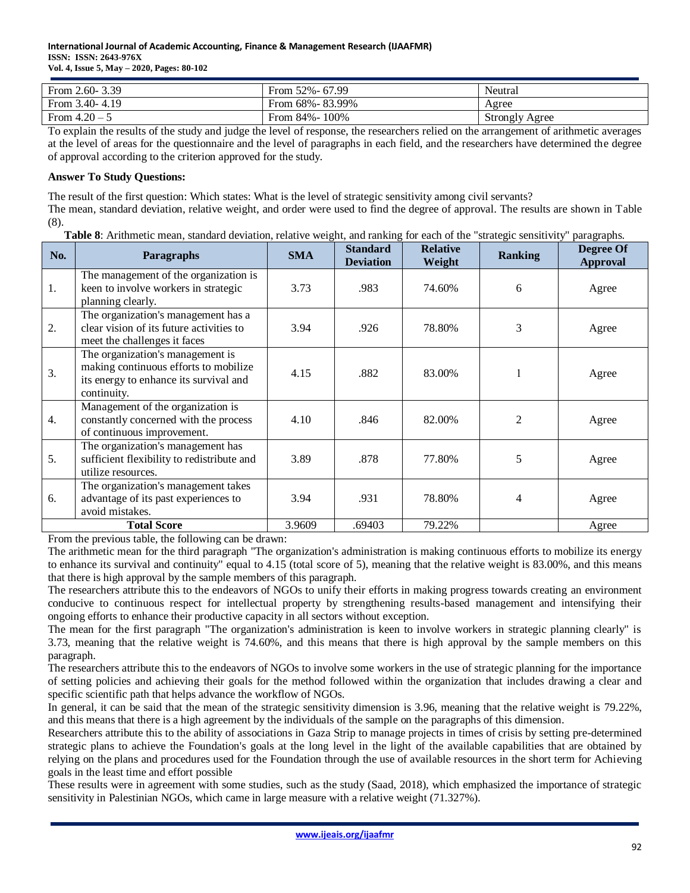| From $2.60 - 3.39$ | From 52% - 67.99  | Neutral               |
|--------------------|-------------------|-----------------------|
| From $3.40 - 4.19$ | From 68% - 83.99% | Agree                 |
| From $4.20 - 5$    | From 84% - 100%   | <b>Strongly Agree</b> |

To explain the results of the study and judge the level of response, the researchers relied on the arrangement of arithmetic averages at the level of areas for the questionnaire and the level of paragraphs in each field, and the researchers have determined the degree of approval according to the criterion approved for the study.

# **Answer To Study Questions:**

The result of the first question: Which states: What is the level of strategic sensitivity among civil servants? The mean, standard deviation, relative weight, and order were used to find the degree of approval. The results are shown in Table (8).

**Table 8**: Arithmetic mean, standard deviation, relative weight, and ranking for each of the "strategic sensitivity" paragraphs.

| No. | Paragraphs                                                                                                                         | <b>SMA</b> | <b>Standard</b><br><b>Deviation</b> | <b>Relative</b><br>Weight | <b>Ranking</b> | Degree Of<br><b>Approval</b> |
|-----|------------------------------------------------------------------------------------------------------------------------------------|------------|-------------------------------------|---------------------------|----------------|------------------------------|
| 1.  | The management of the organization is<br>keen to involve workers in strategic<br>planning clearly.                                 | 3.73       | .983                                | 74.60%                    | 6              | Agree                        |
| 2.  | The organization's management has a<br>clear vision of its future activities to<br>meet the challenges it faces                    | 3.94       | .926                                | 78.80%                    | 3              | Agree                        |
| 3.  | The organization's management is<br>making continuous efforts to mobilize<br>its energy to enhance its survival and<br>continuity. | 4.15       | .882                                | 83.00%                    | 1              | Agree                        |
| 4.  | Management of the organization is<br>constantly concerned with the process<br>of continuous improvement.                           | 4.10       | .846                                | 82.00%                    | 2              | Agree                        |
| 5.  | The organization's management has<br>sufficient flexibility to redistribute and<br>utilize resources.                              | 3.89       | .878                                | 77.80%                    | 5              | Agree                        |
| 6.  | The organization's management takes<br>advantage of its past experiences to<br>avoid mistakes.                                     | 3.94       | .931                                | 78.80%                    | 4              | Agree                        |
|     | <b>Total Score</b>                                                                                                                 | 3.9609     | .69403                              | 79.22%                    |                | Agree                        |

From the previous table, the following can be drawn:

The arithmetic mean for the third paragraph "The organization's administration is making continuous efforts to mobilize its energy to enhance its survival and continuity" equal to 4.15 (total score of 5), meaning that the relative weight is 83.00%, and this means that there is high approval by the sample members of this paragraph.

The researchers attribute this to the endeavors of NGOs to unify their efforts in making progress towards creating an environment conducive to continuous respect for intellectual property by strengthening results-based management and intensifying their ongoing efforts to enhance their productive capacity in all sectors without exception.

The mean for the first paragraph "The organization's administration is keen to involve workers in strategic planning clearly" is 3.73, meaning that the relative weight is 74.60%, and this means that there is high approval by the sample members on this paragraph.

The researchers attribute this to the endeavors of NGOs to involve some workers in the use of strategic planning for the importance of setting policies and achieving their goals for the method followed within the organization that includes drawing a clear and specific scientific path that helps advance the workflow of NGOs.

In general, it can be said that the mean of the strategic sensitivity dimension is 3.96, meaning that the relative weight is 79.22%, and this means that there is a high agreement by the individuals of the sample on the paragraphs of this dimension.

Researchers attribute this to the ability of associations in Gaza Strip to manage projects in times of crisis by setting pre-determined strategic plans to achieve the Foundation's goals at the long level in the light of the available capabilities that are obtained by relying on the plans and procedures used for the Foundation through the use of available resources in the short term for Achieving goals in the least time and effort possible

These results were in agreement with some studies, such as the study (Saad, 2018), which emphasized the importance of strategic sensitivity in Palestinian NGOs, which came in large measure with a relative weight (71.327%).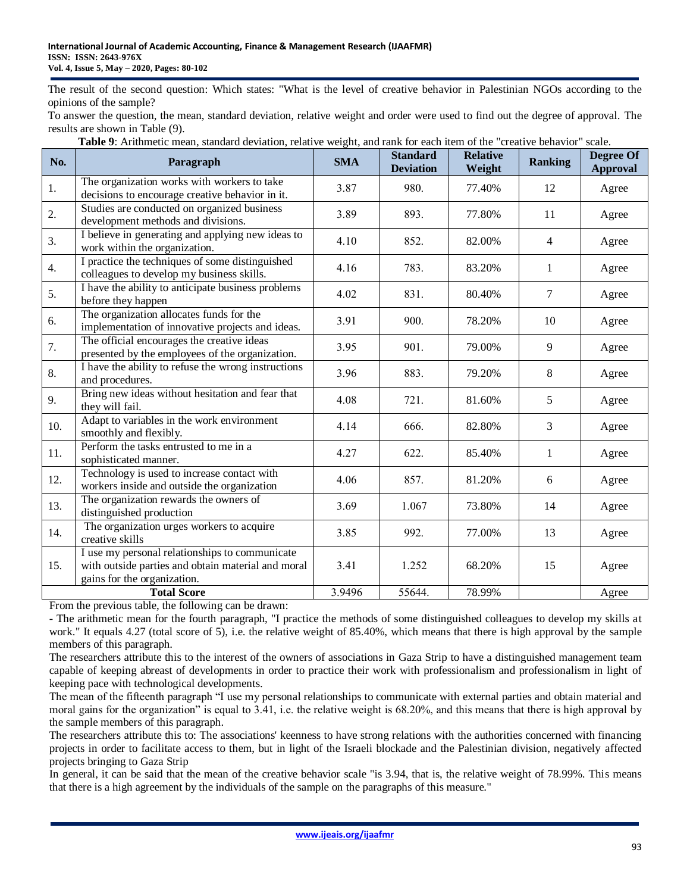The result of the second question: Which states: "What is the level of creative behavior in Palestinian NGOs according to the opinions of the sample?

To answer the question, the mean, standard deviation, relative weight and order were used to find out the degree of approval. The results are shown in Table (9).

| No. | Paragraph                                                                                                                           | <b>SMA</b> | <b>Standard</b><br><b>Deviation</b> | <b>Relative</b><br>Weight | <b>Ranking</b> | <b>Degree Of</b><br><b>Approval</b> |
|-----|-------------------------------------------------------------------------------------------------------------------------------------|------------|-------------------------------------|---------------------------|----------------|-------------------------------------|
| 1.  | The organization works with workers to take<br>decisions to encourage creative behavior in it.                                      | 3.87       | 980.                                | 77.40%                    | 12             | Agree                               |
| 2.  | Studies are conducted on organized business<br>development methods and divisions.                                                   | 3.89       | 893.                                | 77.80%                    | 11             | Agree                               |
| 3.  | I believe in generating and applying new ideas to<br>work within the organization.                                                  | 4.10       | 852.                                | 82.00%                    | $\overline{4}$ | Agree                               |
| 4.  | I practice the techniques of some distinguished<br>colleagues to develop my business skills.                                        | 4.16       | 783.                                | 83.20%                    | 1              | Agree                               |
| 5.  | I have the ability to anticipate business problems<br>before they happen                                                            | 4.02       | 831.                                | 80.40%                    | 7              | Agree                               |
| 6.  | The organization allocates funds for the<br>implementation of innovative projects and ideas.                                        | 3.91       | 900.                                | 78.20%                    | 10             | Agree                               |
| 7.  | The official encourages the creative ideas<br>presented by the employees of the organization.                                       | 3.95       | 901.                                | 79.00%                    | 9              | Agree                               |
| 8.  | I have the ability to refuse the wrong instructions<br>and procedures.                                                              | 3.96       | 883.                                | 79.20%                    | 8              | Agree                               |
| 9.  | Bring new ideas without hesitation and fear that<br>they will fail.                                                                 | 4.08       | 721.                                | 81.60%                    | 5              | Agree                               |
| 10. | Adapt to variables in the work environment<br>smoothly and flexibly.                                                                | 4.14       | 666.                                | 82.80%                    | 3              | Agree                               |
| 11. | Perform the tasks entrusted to me in a<br>sophisticated manner.                                                                     | 4.27       | 622.                                | 85.40%                    | 1              | Agree                               |
| 12. | Technology is used to increase contact with<br>workers inside and outside the organization                                          | 4.06       | 857.                                | 81.20%                    | 6              | Agree                               |
| 13. | The organization rewards the owners of<br>distinguished production                                                                  | 3.69       | 1.067                               | 73.80%                    | 14             | Agree                               |
| 14. | The organization urges workers to acquire<br>creative skills                                                                        | 3.85       | 992.                                | 77.00%                    | 13             | Agree                               |
| 15. | I use my personal relationships to communicate<br>with outside parties and obtain material and moral<br>gains for the organization. | 3.41       | 1.252                               | 68.20%                    | 15             | Agree                               |
|     | <b>Total Score</b>                                                                                                                  | 3.9496     | 55644.                              | 78.99%                    |                | Agree                               |

**Table 9**: Arithmetic mean, standard deviation, relative weight, and rank for each item of the "creative behavior" scale.

From the previous table, the following can be drawn:

- The arithmetic mean for the fourth paragraph, "I practice the methods of some distinguished colleagues to develop my skills at work." It equals 4.27 (total score of 5), i.e. the relative weight of 85.40%, which means that there is high approval by the sample members of this paragraph.

The researchers attribute this to the interest of the owners of associations in Gaza Strip to have a distinguished management team capable of keeping abreast of developments in order to practice their work with professionalism and professionalism in light of keeping pace with technological developments.

The mean of the fifteenth paragraph "I use my personal relationships to communicate with external parties and obtain material and moral gains for the organization" is equal to 3.41, i.e. the relative weight is 68.20%, and this means that there is high approval by the sample members of this paragraph.

The researchers attribute this to: The associations' keenness to have strong relations with the authorities concerned with financing projects in order to facilitate access to them, but in light of the Israeli blockade and the Palestinian division, negatively affected projects bringing to Gaza Strip

In general, it can be said that the mean of the creative behavior scale "is 3.94, that is, the relative weight of 78.99%. This means that there is a high agreement by the individuals of the sample on the paragraphs of this measure."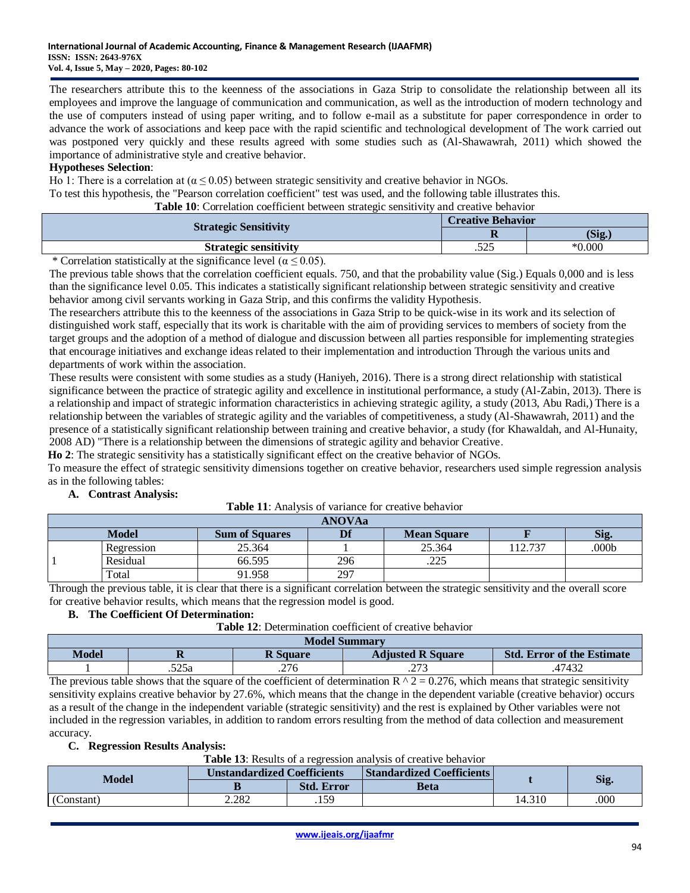The researchers attribute this to the keenness of the associations in Gaza Strip to consolidate the relationship between all its employees and improve the language of communication and communication, as well as the introduction of modern technology and the use of computers instead of using paper writing, and to follow e-mail as a substitute for paper correspondence in order to advance the work of associations and keep pace with the rapid scientific and technological development of The work carried out was postponed very quickly and these results agreed with some studies such as (Al-Shawawrah, 2011) which showed the importance of administrative style and creative behavior.

# **Hypotheses Selection**:

Ho 1: There is a correlation at ( $\alpha \le 0.05$ ) between strategic sensitivity and creative behavior in NGOs.

To test this hypothesis, the "Pearson correlation coefficient" test was used, and the following table illustrates this.

**Table 10**: Correlation coefficient between strategic sensitivity and creative behavior

|                              | <b>Creative Behavior</b> |           |  |
|------------------------------|--------------------------|-----------|--|
| <b>Strategic Sensitivity</b> | $\overline{\phantom{a}}$ | (Sig.)    |  |
| <b>Strategic sensitivity</b> | 525<br>ر بے ر            | $*0.000*$ |  |

\* Correlation statistically at the significance level ( $\alpha \le 0.05$ ).

The previous table shows that the correlation coefficient equals. 750, and that the probability value (Sig.) Equals 0,000 and is less than the significance level 0.05. This indicates a statistically significant relationship between strategic sensitivity and creative behavior among civil servants working in Gaza Strip, and this confirms the validity Hypothesis.

The researchers attribute this to the keenness of the associations in Gaza Strip to be quick-wise in its work and its selection of distinguished work staff, especially that its work is charitable with the aim of providing services to members of society from the target groups and the adoption of a method of dialogue and discussion between all parties responsible for implementing strategies that encourage initiatives and exchange ideas related to their implementation and introduction Through the various units and departments of work within the association.

These results were consistent with some studies as a study (Haniyeh, 2016). There is a strong direct relationship with statistical significance between the practice of strategic agility and excellence in institutional performance, a study (Al-Zabin, 2013). There is a relationship and impact of strategic information characteristics in achieving strategic agility, a study (2013, Abu Radi,) There is a relationship between the variables of strategic agility and the variables of competitiveness, a study (Al-Shawawrah, 2011) and the presence of a statistically significant relationship between training and creative behavior, a study (for Khawaldah, and Al-Hunaity, 2008 AD) "There is a relationship between the dimensions of strategic agility and behavior Creative.

**Ho 2**: The strategic sensitivity has a statistically significant effect on the creative behavior of NGOs.

To measure the effect of strategic sensitivity dimensions together on creative behavior, researchers used simple regression analysis as in the following tables:

#### **A. Contrast Analysis:**

| <b>ANOVAa</b> |            |                       |     |                              |        |                   |  |
|---------------|------------|-----------------------|-----|------------------------------|--------|-------------------|--|
|               | Model      | <b>Sum of Squares</b> | Df  | <b>Mean Square</b>           |        | Sig.              |  |
|               | Regression | 25.364                |     | 25.364                       | 12.737 | .000 <sub>b</sub> |  |
|               | Residual   | 66.595                | 296 | $\cap \cap \Gamma$<br>ل کا ک |        |                   |  |
|               | Total      | 91.958                | 297 |                              |        |                   |  |

Through the previous table, it is clear that there is a significant correlation between the strategic sensitivity and the overall score for creative behavior results, which means that the regression model is good.

# **B. The Coefficient Of Determination:**

**Table 12**: Determination coefficient of creative behavior

| <b>Model Summary</b> |       |                 |                          |                                   |  |  |
|----------------------|-------|-----------------|--------------------------|-----------------------------------|--|--|
| Model                | - 10  | <b>R</b> Square | <b>Adjusted R Square</b> | <b>Std. Error of the Estimate</b> |  |  |
|                      | .525a | 276<br>.∠ / O   | n.<br>ر رے .             | 47432                             |  |  |

The previous table shows that the square of the coefficient of determination  $R \wedge 2 = 0.276$ , which means that strategic sensitivity sensitivity explains creative behavior by 27.6%, which means that the change in the dependent variable (creative behavior) occurs as a result of the change in the independent variable (strategic sensitivity) and the rest is explained by Other variables were not included in the regression variables, in addition to random errors resulting from the method of data collection and measurement accuracy.

#### **C. Regression Results Analysis:**

**Table 13**: Results of a regression analysis of creative behavior

| Model      | <b>Unstandardized Coefficients</b> |                   | <b>Standardized Coefficients</b> |        |      |  |
|------------|------------------------------------|-------------------|----------------------------------|--------|------|--|
|            |                                    | <b>Std. Error</b> | Beta                             |        | Sig. |  |
| (Constant) | 2.282                              | 50<br>ر ر. ۱      |                                  | 14.310 | .000 |  |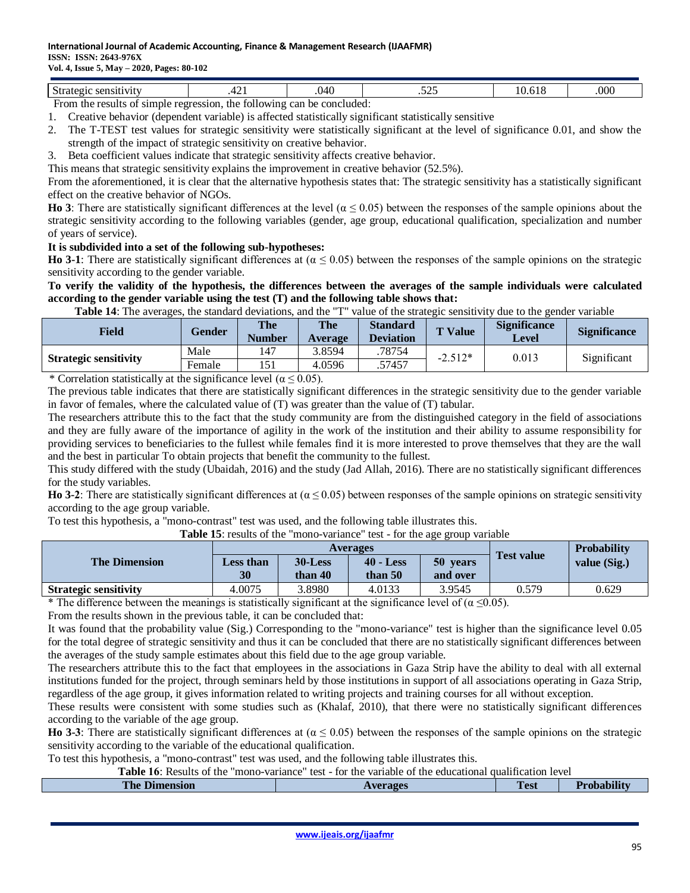#### **International Journal of Academic Accounting, Finance & Management Research (IJAAFMR) ISSN: ISSN: 2643-976X**

### **Vol. 4, Issue 5, May – 2020, Pages: 80-102**

| $\sim$<br>7150<br>.<br>10 L L | . | OZU<br>− ∪<br>. | $ -$<br>ت سے ب |  | .000 |  |
|-------------------------------|---|-----------------|----------------|--|------|--|
|                               |   |                 |                |  |      |  |

From the results of simple regression, the following can be concluded:

- 1. Creative behavior (dependent variable) is affected statistically significant statistically sensitive 2. The T-TEST test values for strategic sensitivity were statistically significant at the level of significance 0.01, and show the
- strength of the impact of strategic sensitivity on creative behavior.
- 3. Beta coefficient values indicate that strategic sensitivity affects creative behavior.

This means that strategic sensitivity explains the improvement in creative behavior (52.5%).

From the aforementioned, it is clear that the alternative hypothesis states that: The strategic sensitivity has a statistically significant effect on the creative behavior of NGOs.

**Ho 3**: There are statistically significant differences at the level ( $\alpha \le 0.05$ ) between the responses of the sample opinions about the strategic sensitivity according to the following variables (gender, age group, educational qualification, specialization and number of years of service).

# **It is subdivided into a set of the following sub-hypotheses:**

**Ho 3-1**: There are statistically significant differences at  $(α ≤ 0.05)$  between the responses of the sample opinions on the strategic sensitivity according to the gender variable.

### **To verify the validity of the hypothesis, the differences between the averages of the sample individuals were calculated according to the gender variable using the test (T) and the following table shows that:**

**Table 14**: The averages, the standard deviations, and the "T" value of the strategic sensitivity due to the gender variable

| <b>Field</b>                                    | Gender | The<br><b>Number</b> | <b>The</b><br><b>Average</b> | <b>Standard</b><br><b>Deviation</b> | T Value   | <b>Significance</b><br>Level | <b>Significance</b> |
|-------------------------------------------------|--------|----------------------|------------------------------|-------------------------------------|-----------|------------------------------|---------------------|
| <b>Strategic sensitivity</b>                    | Male   | 147                  | 3.8594                       | 78754                               | $-2.512*$ | 0.013                        | Significant         |
|                                                 | Female | 151                  | 4.0596                       | .57457                              |           |                              |                     |
| .<br>$\sim$<br>$\sim$ $\sim$ $\sim$ $\sim$<br>. |        |                      |                              |                                     |           |                              |                     |

\* Correlation statistically at the significance level ( $\alpha \le 0.05$ ).

The previous table indicates that there are statistically significant differences in the strategic sensitivity due to the gender variable in favor of females, where the calculated value of (T) was greater than the value of (T) tabular.

The researchers attribute this to the fact that the study community are from the distinguished category in the field of associations and they are fully aware of the importance of agility in the work of the institution and their ability to assume responsibility for providing services to beneficiaries to the fullest while females find it is more interested to prove themselves that they are the wall and the best in particular To obtain projects that benefit the community to the fullest.

This study differed with the study (Ubaidah, 2016) and the study (Jad Allah, 2016). There are no statistically significant differences for the study variables.

**Ho 3-2**: There are statistically significant differences at  $(\alpha \le 0.05)$  between responses of the sample opinions on strategic sensitivity according to the age group variable.

To test this hypothesis, a "mono-contrast" test was used, and the following table illustrates this. **Table 15**: results of the "mono-variance" test - for the age group variable

| <b>Table 15:</b> results of the mono-variance test - for the age group variable |                        |                       |                          |                      |                   |                    |  |
|---------------------------------------------------------------------------------|------------------------|-----------------------|--------------------------|----------------------|-------------------|--------------------|--|
|                                                                                 | <b>Averages</b>        |                       |                          |                      |                   | <b>Probability</b> |  |
| <b>The Dimension</b>                                                            | <b>Less than</b><br>30 | $30$ -Less<br>than 40 | $40 - Less$<br>than $50$ | 50 years<br>and over | <b>Test value</b> | value (Sig.)       |  |
|                                                                                 |                        |                       |                          |                      |                   |                    |  |
| <b>Strategic sensitivity</b>                                                    | 4.0075                 | 3.8980                | 4.0133                   | 3.9545               | 0.579             | 0.629              |  |
|                                                                                 |                        |                       | $\sim$                   | .                    |                   |                    |  |

\* The difference between the meanings is statistically significant at the significance level of ( $\alpha \le 0.05$ ).

From the results shown in the previous table, it can be concluded that:

It was found that the probability value (Sig.) Corresponding to the "mono-variance" test is higher than the significance level 0.05 for the total degree of strategic sensitivity and thus it can be concluded that there are no statistically significant differences between the averages of the study sample estimates about this field due to the age group variable.

The researchers attribute this to the fact that employees in the associations in Gaza Strip have the ability to deal with all external institutions funded for the project, through seminars held by those institutions in support of all associations operating in Gaza Strip, regardless of the age group, it gives information related to writing projects and training courses for all without exception.

These results were consistent with some studies such as (Khalaf, 2010), that there were no statistically significant differences according to the variable of the age group.

**Ho 3-3**: There are statistically significant differences at  $(α ≤ 0.05)$  between the responses of the sample opinions on the strategic sensitivity according to the variable of the educational qualification.

To test this hypothesis, a "mono-contrast" test was used, and the following table illustrates this.

**Table 66**: Results of the "mono-variance" test - for the variable of the educational qualification level

| The<br>$\sim$ $\sim$ $\sim$ $\sim$<br>ension<br>___________ | verages<br>-- | m<br>Test | .<br>− |
|-------------------------------------------------------------|---------------|-----------|--------|
|                                                             |               |           |        |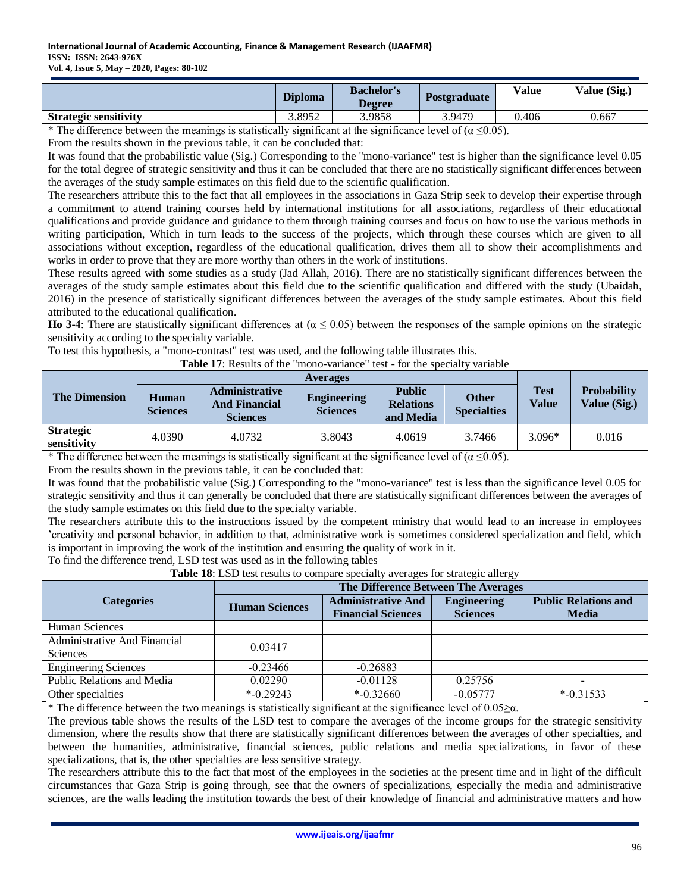|                              | <b>Diploma</b> | <b>Bachelor's</b><br><b>Degree</b> | <b>Postgraduate</b> | <b>Value</b> | Value (Sig.) |
|------------------------------|----------------|------------------------------------|---------------------|--------------|--------------|
| <b>Strategic sensitivity</b> | 3.8952         | 3.9858                             | 3.9479              | 0.406        | 0.667        |
| .                            | .              | .                                  | .<br>.              |              |              |

\* The difference between the meanings is statistically significant at the significance level of ( $\alpha \le 0.05$ ).

From the results shown in the previous table, it can be concluded that:

It was found that the probabilistic value (Sig.) Corresponding to the "mono-variance" test is higher than the significance level 0.05 for the total degree of strategic sensitivity and thus it can be concluded that there are no statistically significant differences between the averages of the study sample estimates on this field due to the scientific qualification.

The researchers attribute this to the fact that all employees in the associations in Gaza Strip seek to develop their expertise through a commitment to attend training courses held by international institutions for all associations, regardless of their educational qualifications and provide guidance and guidance to them through training courses and focus on how to use the various methods in writing participation, Which in turn leads to the success of the projects, which through these courses which are given to all associations without exception, regardless of the educational qualification, drives them all to show their accomplishments and works in order to prove that they are more worthy than others in the work of institutions.

These results agreed with some studies as a study (Jad Allah, 2016). There are no statistically significant differences between the averages of the study sample estimates about this field due to the scientific qualification and differed with the study (Ubaidah, 2016) in the presence of statistically significant differences between the averages of the study sample estimates. About this field attributed to the educational qualification.

**Ho 3-4**: There are statistically significant differences at  $(α ≤ 0.05)$  between the responses of the sample opinions on the strategic sensitivity according to the specialty variable.

To test this hypothesis, a "mono-contrast" test was used, and the following table illustrates this.

Table 17: Results of the "mono-variance" test - for the specialty variable

| <b>The Dimension</b>            | <b>Human</b><br><b>Sciences</b> | <b>Administrative</b><br><b>And Financial</b><br><b>Sciences</b> | <b>Engineering</b><br><b>Sciences</b> | <b>Public</b><br><b>Relations</b><br>and Media | <b>Other</b><br><b>Specialties</b> | Test<br>Value | <b>Probability</b><br>Value (Sig.) |
|---------------------------------|---------------------------------|------------------------------------------------------------------|---------------------------------------|------------------------------------------------|------------------------------------|---------------|------------------------------------|
| <b>Strategic</b><br>sensitivity | 4.0390                          | 4.0732                                                           | 3.8043                                | 4.0619                                         | 3.7466                             | $3.096*$      | 0.016                              |

\* The difference between the meanings is statistically significant at the significance level of ( $\alpha \le 0.05$ ).

From the results shown in the previous table, it can be concluded that:

It was found that the probabilistic value (Sig.) Corresponding to the "mono-variance" test is less than the significance level 0.05 for strategic sensitivity and thus it can generally be concluded that there are statistically significant differences between the averages of the study sample estimates on this field due to the specialty variable.

The researchers attribute this to the instructions issued by the competent ministry that would lead to an increase in employees 'creativity and personal behavior, in addition to that, administrative work is sometimes considered specialization and field, which is important in improving the work of the institution and ensuring the quality of work in it.

To find the difference trend, LSD test was used as in the following tables

**Table 18**: LSD test results to compare specialty averages for strategic allergy

|                                                 | The Difference Between The Averages |                                                        |                                       |                                             |  |  |  |  |
|-------------------------------------------------|-------------------------------------|--------------------------------------------------------|---------------------------------------|---------------------------------------------|--|--|--|--|
| <b>Categories</b>                               | <b>Human Sciences</b>               | <b>Administrative And</b><br><b>Financial Sciences</b> | <b>Engineering</b><br><b>Sciences</b> | <b>Public Relations and</b><br><b>Media</b> |  |  |  |  |
| Human Sciences                                  |                                     |                                                        |                                       |                                             |  |  |  |  |
| <b>Administrative And Financial</b><br>Sciences | 0.03417                             |                                                        |                                       |                                             |  |  |  |  |
| <b>Engineering Sciences</b>                     | $-0.23466$                          | $-0.26883$                                             |                                       |                                             |  |  |  |  |
| Public Relations and Media                      | 0.02290                             | $-0.01128$                                             | 0.25756                               | $\overline{\phantom{m}}$                    |  |  |  |  |
| Other specialties                               | $*$ -0.29243                        | $*$ -0.32660                                           | $-0.05777$                            | $*$ -0.31533                                |  |  |  |  |

\* The difference between the two meanings is statistically significant at the significance level of 0.05 $\geq \alpha$ .

The previous table shows the results of the LSD test to compare the averages of the income groups for the strategic sensitivity dimension, where the results show that there are statistically significant differences between the averages of other specialties, and between the humanities, administrative, financial sciences, public relations and media specializations, in favor of these specializations, that is, the other specialties are less sensitive strategy.

The researchers attribute this to the fact that most of the employees in the societies at the present time and in light of the difficult circumstances that Gaza Strip is going through, see that the owners of specializations, especially the media and administrative sciences, are the walls leading the institution towards the best of their knowledge of financial and administrative matters and how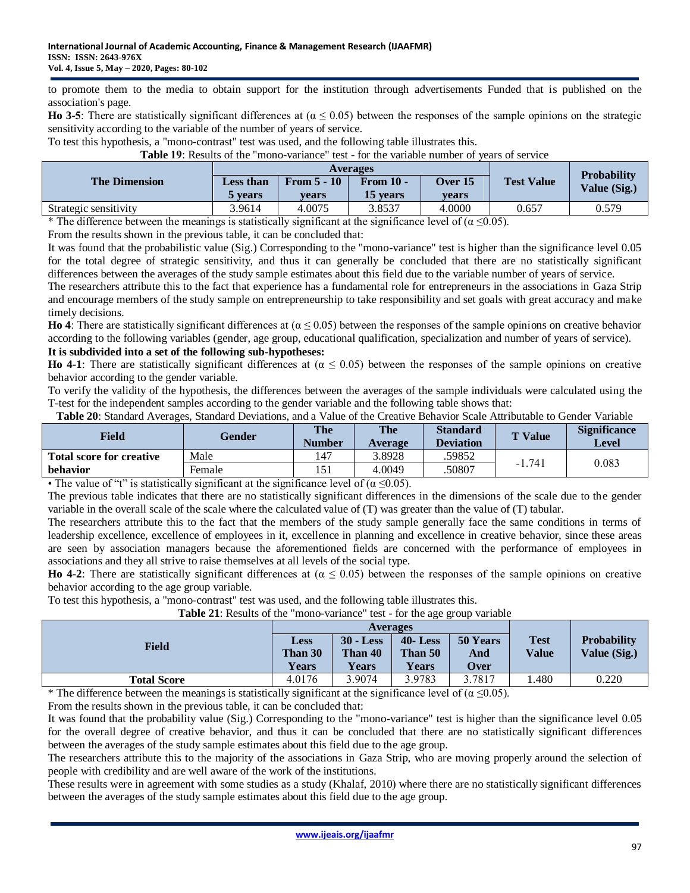to promote them to the media to obtain support for the institution through advertisements Funded that is published on the association's page.

**Ho 3-5**: There are statistically significant differences at  $(α ≤ 0.05)$  between the responses of the sample opinions on the strategic sensitivity according to the variable of the number of years of service.

To test this hypothesis, a "mono-contrast" test was used, and the following table illustrates this.

Table 19: Results of the "mono-variance" test - for the variable number of years of service

|                                                              |                                  | Averages               |                              | <b>Probability</b> |                             |              |
|--------------------------------------------------------------|----------------------------------|------------------------|------------------------------|--------------------|-----------------------------|--------------|
| <b>The Dimension</b>                                         | <b>Less than</b><br><b>vears</b> | From $5 - 10$<br>vears | <b>From 10 -</b><br>15 years | Over $15$<br>vears | <b>Test Value</b>           | Value (Sig.) |
| Strategic sensitivity                                        | 3.9614                           | 4.0075                 | 3.8537                       | 4.0000             | 0.657                       | 0.579        |
| $\cdots$<br>$\sim$ $\sim$ $\sim$ $\sim$ $\sim$ $\sim$ $\sim$ |                                  | $\cdot$                | $\cdot$                      | $\sim$             | $\sim$ $\sim$ $\sim$ $\sim$ |              |

\* The difference between the meanings is statistically significant at the significance level of ( $\alpha \le 0.05$ ).

From the results shown in the previous table, it can be concluded that:

It was found that the probabilistic value (Sig.) Corresponding to the "mono-variance" test is higher than the significance level 0.05 for the total degree of strategic sensitivity, and thus it can generally be concluded that there are no statistically significant differences between the averages of the study sample estimates about this field due to the variable number of years of service.

The researchers attribute this to the fact that experience has a fundamental role for entrepreneurs in the associations in Gaza Strip and encourage members of the study sample on entrepreneurship to take responsibility and set goals with great accuracy and make timely decisions.

**Ho 4**: There are statistically significant differences at  $(α ≤ 0.05)$  between the responses of the sample opinions on creative behavior according to the following variables (gender, age group, educational qualification, specialization and number of years of service). **It is subdivided into a set of the following sub-hypotheses:**

**Ho 4-1**: There are statistically significant differences at  $(α ≤ 0.05)$  between the responses of the sample opinions on creative behavior according to the gender variable.

To verify the validity of the hypothesis, the differences between the averages of the sample individuals were calculated using the T-test for the independent samples according to the gender variable and the following table shows that:

|  | Table 20: Standard Averages, Standard Deviations, and a Value of the Creative Behavior Scale Attributable to Gender Variable |
|--|------------------------------------------------------------------------------------------------------------------------------|
|--|------------------------------------------------------------------------------------------------------------------------------|

| Field                                                                                                                                                                                                                                                                                               | <b>Gender</b> | The<br>Number | <b>The</b><br><b>Average</b> | <b>Standard</b><br><b>Deviation</b> | <b>T</b> Value | <b>Significance</b><br>Level |  |
|-----------------------------------------------------------------------------------------------------------------------------------------------------------------------------------------------------------------------------------------------------------------------------------------------------|---------------|---------------|------------------------------|-------------------------------------|----------------|------------------------------|--|
| <b>Total score for creative</b>                                                                                                                                                                                                                                                                     | Male          | 147           | 3.8928                       | .59852                              | $-1.741$       | 0.083                        |  |
| behavior                                                                                                                                                                                                                                                                                            | Female        | 151           | 4.0049                       | 50807                               |                |                              |  |
| $\mathbb{R}^{n+1}$ and $\mathbb{R}^{n}$ and $\mathbb{R}^{n}$ and $\mathbb{R}^{n}$ and $\mathbb{R}^{n}$ and $\mathbb{R}^{n}$ and $\mathbb{R}^{n}$ and $\mathbb{R}^{n}$ and $\mathbb{R}^{n}$ and $\mathbb{R}^{n}$ and $\mathbb{R}^{n}$ and $\mathbb{R}^{n}$ and $\mathbb{R}^{n}$ and $\mathbb{R}^{n}$ |               |               |                              |                                     |                |                              |  |

• The value of "t" is statistically significant at the significance level of ( $\alpha \le 0.05$ ).

The previous table indicates that there are no statistically significant differences in the dimensions of the scale due to the gender variable in the overall scale of the scale where the calculated value of (T) was greater than the value of (T) tabular.

The researchers attribute this to the fact that the members of the study sample generally face the same conditions in terms of leadership excellence, excellence of employees in it, excellence in planning and excellence in creative behavior, since these areas are seen by association managers because the aforementioned fields are concerned with the performance of employees in associations and they all strive to raise themselves at all levels of the social type.

**Ho 4-2**: There are statistically significant differences at  $(α ≤ 0.05)$  between the responses of the sample opinions on creative behavior according to the age group variable.

To test this hypothesis, a "mono-contrast" test was used, and the following table illustrates this.

| <b>Field</b>       | <b>Less</b><br>Than 30<br><b>Years</b> | <b>Averages</b><br>$30 - Less$<br>Than 40<br><b>Years</b> | ັັ<br>$40 - Loss$<br>Than 50<br><b>Years</b> | 50 Years<br>And<br><b>Over</b> | <b>Test</b><br><b>Value</b> | <b>Probability</b><br>Value (Sig.) |
|--------------------|----------------------------------------|-----------------------------------------------------------|----------------------------------------------|--------------------------------|-----------------------------|------------------------------------|
| <b>Total Score</b> | 4.0176                                 | 3.9074                                                    | 3.9783                                       | 3.7817                         | . 480                       | 0.220                              |

**Table 21**: Results of the "mono-variance" test - for the age group variable

\* The difference between the meanings is statistically significant at the significance level of ( $\alpha \le 0.05$ ).

From the results shown in the previous table, it can be concluded that:

It was found that the probability value (Sig.) Corresponding to the "mono-variance" test is higher than the significance level 0.05 for the overall degree of creative behavior, and thus it can be concluded that there are no statistically significant differences between the averages of the study sample estimates about this field due to the age group.

The researchers attribute this to the majority of the associations in Gaza Strip, who are moving properly around the selection of people with credibility and are well aware of the work of the institutions.

These results were in agreement with some studies as a study (Khalaf, 2010) where there are no statistically significant differences between the averages of the study sample estimates about this field due to the age group.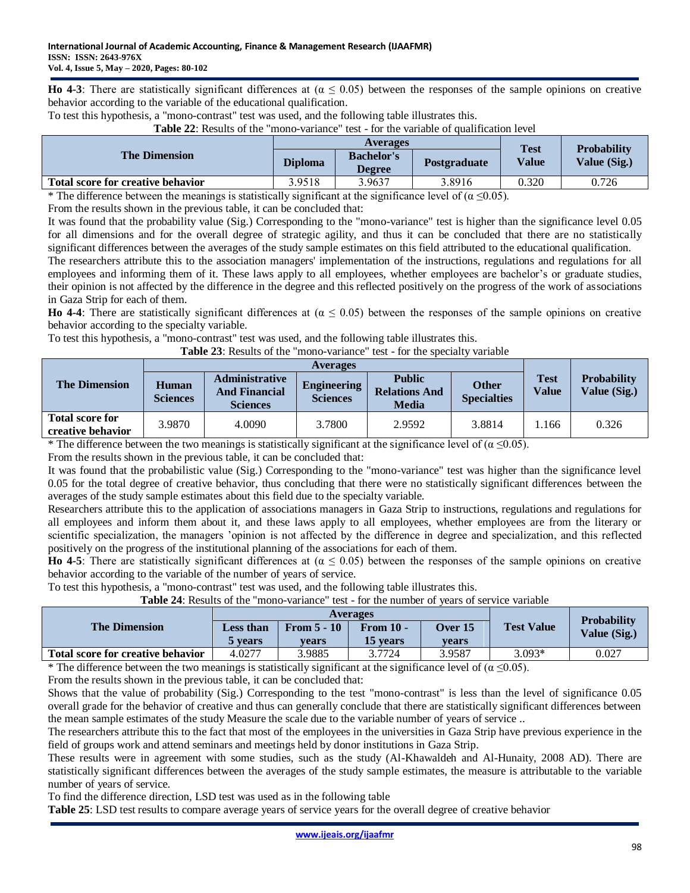**Ho 4-3**: There are statistically significant differences at  $(α ≤ 0.05)$  between the responses of the sample opinions on creative behavior according to the variable of the educational qualification.

To test this hypothesis, a "mono-contrast" test was used, and the following table illustrates this.

|                                   |                | <b>Averages</b>                    | <b>Test</b>  |       |                                    |
|-----------------------------------|----------------|------------------------------------|--------------|-------|------------------------------------|
| <b>The Dimension</b>              | <b>Diploma</b> | <b>Bachelor's</b><br><b>Degree</b> | Postgraduate | Value | <b>Probability</b><br>Value (Sig.) |
| Total score for creative behavior | 3.9518         | 3.9637                             | 3.8916       | 0.320 | 0.726                              |

**Table 22**: Results of the "mono-variance" test - for the variable of qualification level

\* The difference between the meanings is statistically significant at the significance level of ( $\alpha \le 0.05$ ).

From the results shown in the previous table, it can be concluded that:

It was found that the probability value (Sig.) Corresponding to the "mono-variance" test is higher than the significance level 0.05 for all dimensions and for the overall degree of strategic agility, and thus it can be concluded that there are no statistically significant differences between the averages of the study sample estimates on this field attributed to the educational qualification.

The researchers attribute this to the association managers' implementation of the instructions, regulations and regulations for all employees and informing them of it. These laws apply to all employees, whether employees are bachelor's or graduate studies, their opinion is not affected by the difference in the degree and this reflected positively on the progress of the work of associations in Gaza Strip for each of them.

**Ho 4-4**: There are statistically significant differences at  $(\alpha \le 0.05)$  between the responses of the sample opinions on creative behavior according to the specialty variable.

To test this hypothesis, a "mono-contrast" test was used, and the following table illustrates this.

**Table 23**: Results of the "mono-variance" test - for the specialty variable

|                                             | <b>Averages</b>          |                                                                  |                                       |                                                       |                                    |                             |                                    |  |
|---------------------------------------------|--------------------------|------------------------------------------------------------------|---------------------------------------|-------------------------------------------------------|------------------------------------|-----------------------------|------------------------------------|--|
| <b>The Dimension</b>                        | Human<br><b>Sciences</b> | <b>Administrative</b><br><b>And Financial</b><br><b>Sciences</b> | <b>Engineering</b><br><b>Sciences</b> | <b>Public</b><br><b>Relations And</b><br><b>Media</b> | <b>Other</b><br><b>Specialties</b> | <b>Test</b><br><b>Value</b> | <b>Probability</b><br>Value (Sig.) |  |
| <b>Total score for</b><br>creative behavior | 3.9870                   | 4.0090                                                           | 3.7800                                | 2.9592                                                | 3.8814                             | 1.166                       | 0.326                              |  |

\* The difference between the two meanings is statistically significant at the significance level of ( $\alpha \le 0.05$ ).

From the results shown in the previous table, it can be concluded that:

It was found that the probabilistic value (Sig.) Corresponding to the "mono-variance" test was higher than the significance level 0.05 for the total degree of creative behavior, thus concluding that there were no statistically significant differences between the averages of the study sample estimates about this field due to the specialty variable.

Researchers attribute this to the application of associations managers in Gaza Strip to instructions, regulations and regulations for all employees and inform them about it, and these laws apply to all employees, whether employees are from the literary or scientific specialization, the managers 'opinion is not affected by the difference in degree and specialization, and this reflected positively on the progress of the institutional planning of the associations for each of them.

**Ho 4-5**: There are statistically significant differences at  $(α ≤ 0.05)$  between the responses of the sample opinions on creative behavior according to the variable of the number of years of service.

To test this hypothesis, a "mono-contrast" test was used, and the following table illustrates this.

**Table 24**: Results of the "mono-variance" test - for the number of years of service variable

|                                   |                                    |                        | <b>Averages</b>                     |                         |                      | <b>Probability</b> |  |
|-----------------------------------|------------------------------------|------------------------|-------------------------------------|-------------------------|----------------------|--------------------|--|
| <b>The Dimension</b>              | <b>Less than</b><br><b>b</b> vears | From $5 - 10$<br>vears | <b>From 10 -</b><br><b>15 vears</b> | <b>Over 15</b><br>vears | <b>Test Value</b>    | Value (Sig.)       |  |
| Total score for creative behavior | 4.0277                             | 3.9885                 | 3.7724                              | 3.9587                  | $3.093*$             | 0.027              |  |
| $\cdots$                          |                                    | $\sim$<br>.            |                                     | $\sim$                  | $\sim$ $\sim$ $\sim$ |                    |  |

\* The difference between the two meanings is statistically significant at the significance level of ( $\alpha \le 0.05$ ).

From the results shown in the previous table, it can be concluded that:

Shows that the value of probability (Sig.) Corresponding to the test "mono-contrast" is less than the level of significance 0.05 overall grade for the behavior of creative and thus can generally conclude that there are statistically significant differences between the mean sample estimates of the study Measure the scale due to the variable number of years of service ..

The researchers attribute this to the fact that most of the employees in the universities in Gaza Strip have previous experience in the field of groups work and attend seminars and meetings held by donor institutions in Gaza Strip.

These results were in agreement with some studies, such as the study (Al-Khawaldeh and Al-Hunaity, 2008 AD). There are statistically significant differences between the averages of the study sample estimates, the measure is attributable to the variable number of years of service.

To find the difference direction, LSD test was used as in the following table

**Table 25**: LSD test results to compare average years of service years for the overall degree of creative behavior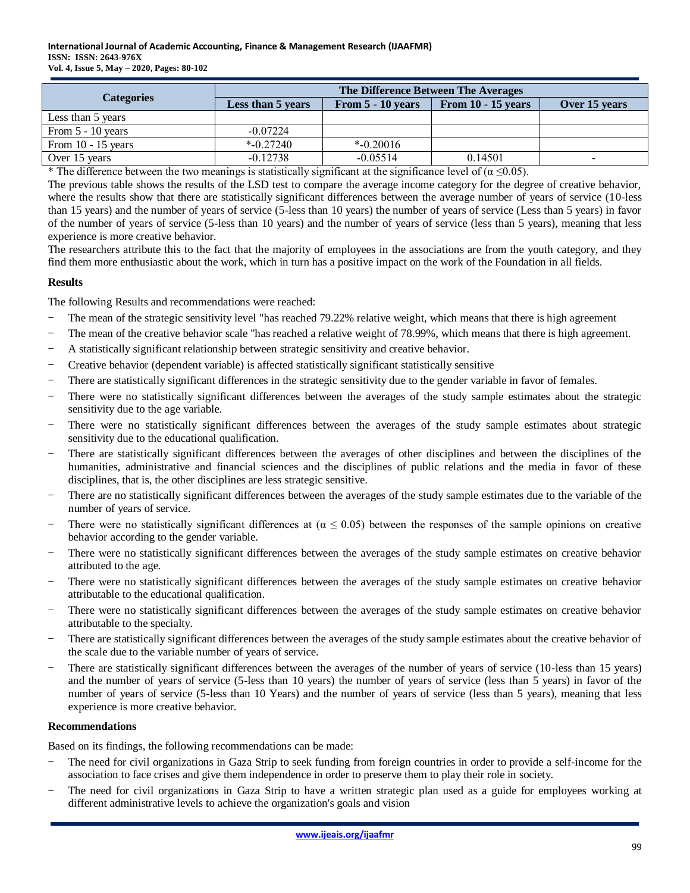| <b>Categories</b>    | The Difference Between The Averages |                     |                      |               |  |  |  |  |  |
|----------------------|-------------------------------------|---------------------|----------------------|---------------|--|--|--|--|--|
|                      | Less than 5 years                   | From $5 - 10$ years | From $10 - 15$ years | Over 15 years |  |  |  |  |  |
| Less than 5 years    |                                     |                     |                      |               |  |  |  |  |  |
| From $5 - 10$ years  | $-0.07224$                          |                     |                      |               |  |  |  |  |  |
| From $10 - 15$ years | $*$ -0.27240                        | $*$ -0.20016        |                      |               |  |  |  |  |  |
| Over 15 years        | $-0.12738$                          | $-0.05514$          | 0.14501              | -             |  |  |  |  |  |

\* The difference between the two meanings is statistically significant at the significance level of ( $\alpha \le 0.05$ ).

The previous table shows the results of the LSD test to compare the average income category for the degree of creative behavior, where the results show that there are statistically significant differences between the average number of years of service (10-less than 15 years) and the number of years of service (5-less than 10 years) the number of years of service (Less than 5 years) in favor of the number of years of service (5-less than 10 years) and the number of years of service (less than 5 years), meaning that less experience is more creative behavior.

The researchers attribute this to the fact that the majority of employees in the associations are from the youth category, and they find them more enthusiastic about the work, which in turn has a positive impact on the work of the Foundation in all fields.

#### **Results**

The following Results and recommendations were reached:

- The mean of the strategic sensitivity level "has reached 79.22% relative weight, which means that there is high agreement
- The mean of the creative behavior scale "has reached a relative weight of 78.99%, which means that there is high agreement.
- A statistically significant relationship between strategic sensitivity and creative behavior.
- Creative behavior (dependent variable) is affected statistically significant statistically sensitive
- There are statistically significant differences in the strategic sensitivity due to the gender variable in favor of females.
- There were no statistically significant differences between the averages of the study sample estimates about the strategic sensitivity due to the age variable.
- There were no statistically significant differences between the averages of the study sample estimates about strategic sensitivity due to the educational qualification.
- There are statistically significant differences between the averages of other disciplines and between the disciplines of the humanities, administrative and financial sciences and the disciplines of public relations and the media in favor of these disciplines, that is, the other disciplines are less strategic sensitive.
- There are no statistically significant differences between the averages of the study sample estimates due to the variable of the number of years of service.
- There were no statistically significant differences at  $(a \le 0.05)$  between the responses of the sample opinions on creative behavior according to the gender variable.
- There were no statistically significant differences between the averages of the study sample estimates on creative behavior attributed to the age.
- There were no statistically significant differences between the averages of the study sample estimates on creative behavior attributable to the educational qualification.
- There were no statistically significant differences between the averages of the study sample estimates on creative behavior attributable to the specialty.
- There are statistically significant differences between the averages of the study sample estimates about the creative behavior of the scale due to the variable number of years of service.
- There are statistically significant differences between the averages of the number of years of service (10-less than 15 years) and the number of years of service (5-less than 10 years) the number of years of service (less than 5 years) in favor of the number of years of service (5-less than 10 Years) and the number of years of service (less than 5 years), meaning that less experience is more creative behavior.

#### **Recommendations**

Based on its findings, the following recommendations can be made:

- The need for civil organizations in Gaza Strip to seek funding from foreign countries in order to provide a self-income for the association to face crises and give them independence in order to preserve them to play their role in society.
- The need for civil organizations in Gaza Strip to have a written strategic plan used as a guide for employees working at different administrative levels to achieve the organization's goals and vision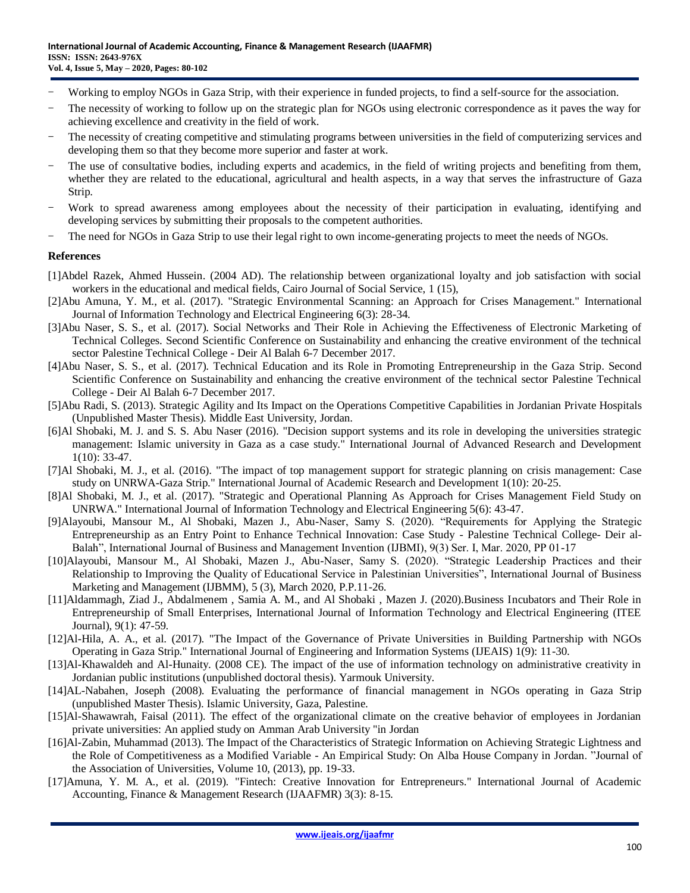- Working to employ NGOs in Gaza Strip, with their experience in funded projects, to find a self-source for the association.
- The necessity of working to follow up on the strategic plan for NGOs using electronic correspondence as it paves the way for achieving excellence and creativity in the field of work.
- The necessity of creating competitive and stimulating programs between universities in the field of computerizing services and developing them so that they become more superior and faster at work.
- The use of consultative bodies, including experts and academics, in the field of writing projects and benefiting from them, whether they are related to the educational, agricultural and health aspects, in a way that serves the infrastructure of Gaza Strip.
- Work to spread awareness among employees about the necessity of their participation in evaluating, identifying and developing services by submitting their proposals to the competent authorities.
- The need for NGOs in Gaza Strip to use their legal right to own income-generating projects to meet the needs of NGOs.

#### **References**

- [1]Abdel Razek, Ahmed Hussein. (2004 AD). The relationship between organizational loyalty and job satisfaction with social workers in the educational and medical fields, Cairo Journal of Social Service, 1 (15),
- [2]Abu Amuna, Y. M., et al. (2017). "Strategic Environmental Scanning: an Approach for Crises Management." International Journal of Information Technology and Electrical Engineering 6(3): 28-34.
- [3]Abu Naser, S. S., et al. (2017). Social Networks and Their Role in Achieving the Effectiveness of Electronic Marketing of Technical Colleges. Second Scientific Conference on Sustainability and enhancing the creative environment of the technical sector Palestine Technical College - Deir Al Balah 6-7 December 2017.
- [4]Abu Naser, S. S., et al. (2017). Technical Education and its Role in Promoting Entrepreneurship in the Gaza Strip. Second Scientific Conference on Sustainability and enhancing the creative environment of the technical sector Palestine Technical College - Deir Al Balah 6-7 December 2017.
- [5]Abu Radi, S. (2013). Strategic Agility and Its Impact on the Operations Competitive Capabilities in Jordanian Private Hospitals (Unpublished Master Thesis). Middle East University, Jordan.
- [6]Al Shobaki, M. J. and S. S. Abu Naser (2016). "Decision support systems and its role in developing the universities strategic management: Islamic university in Gaza as a case study." International Journal of Advanced Research and Development 1(10): 33-47.
- [7]Al Shobaki, M. J., et al. (2016). "The impact of top management support for strategic planning on crisis management: Case study on UNRWA-Gaza Strip." International Journal of Academic Research and Development 1(10): 20-25.
- [8]Al Shobaki, M. J., et al. (2017). "Strategic and Operational Planning As Approach for Crises Management Field Study on UNRWA." International Journal of Information Technology and Electrical Engineering 5(6): 43-47.
- [9]Alayoubi, Mansour M., Al Shobaki, Mazen J., Abu-Naser, Samy S. (2020). "Requirements for Applying the Strategic Entrepreneurship as an Entry Point to Enhance Technical Innovation: Case Study - Palestine Technical College- Deir al-Balah", International Journal of Business and Management Invention (IJBMI), 9(3) Ser. I, Mar. 2020, PP 01-17
- [10]Alayoubi, Mansour M., Al Shobaki, Mazen J., Abu-Naser, Samy S. (2020). "Strategic Leadership Practices and their Relationship to Improving the Quality of Educational Service in Palestinian Universities", International Journal of Business Marketing and Management (IJBMM), 5 (3), March 2020, P.P.11-26.
- [11]Aldammagh, Ziad J., Abdalmenem , Samia A. M., and Al Shobaki , Mazen J. (2020).Business Incubators and Their Role in Entrepreneurship of Small Enterprises, International Journal of Information Technology and Electrical Engineering (ITEE Journal), 9(1): 47-59.
- [12]Al-Hila, A. A., et al. (2017). "The Impact of the Governance of Private Universities in Building Partnership with NGOs Operating in Gaza Strip." International Journal of Engineering and Information Systems (IJEAIS) 1(9): 11-30.
- [13]Al-Khawaldeh and Al-Hunaity. (2008 CE). The impact of the use of information technology on administrative creativity in Jordanian public institutions (unpublished doctoral thesis). Yarmouk University.
- [14]AL-Nabahen, Joseph (2008). Evaluating the performance of financial management in NGOs operating in Gaza Strip (unpublished Master Thesis). Islamic University, Gaza, Palestine.
- [15]Al-Shawawrah, Faisal (2011). The effect of the organizational climate on the creative behavior of employees in Jordanian private universities: An applied study on Amman Arab University "in Jordan
- [16]Al-Zabin, Muhammad (2013). The Impact of the Characteristics of Strategic Information on Achieving Strategic Lightness and the Role of Competitiveness as a Modified Variable - An Empirical Study: On Alba House Company in Jordan. "Journal of the Association of Universities, Volume 10, (2013), pp. 19-33.
- [17]Amuna, Y. M. A., et al. (2019). "Fintech: Creative Innovation for Entrepreneurs." International Journal of Academic Accounting, Finance & Management Research (IJAAFMR) 3(3): 8-15.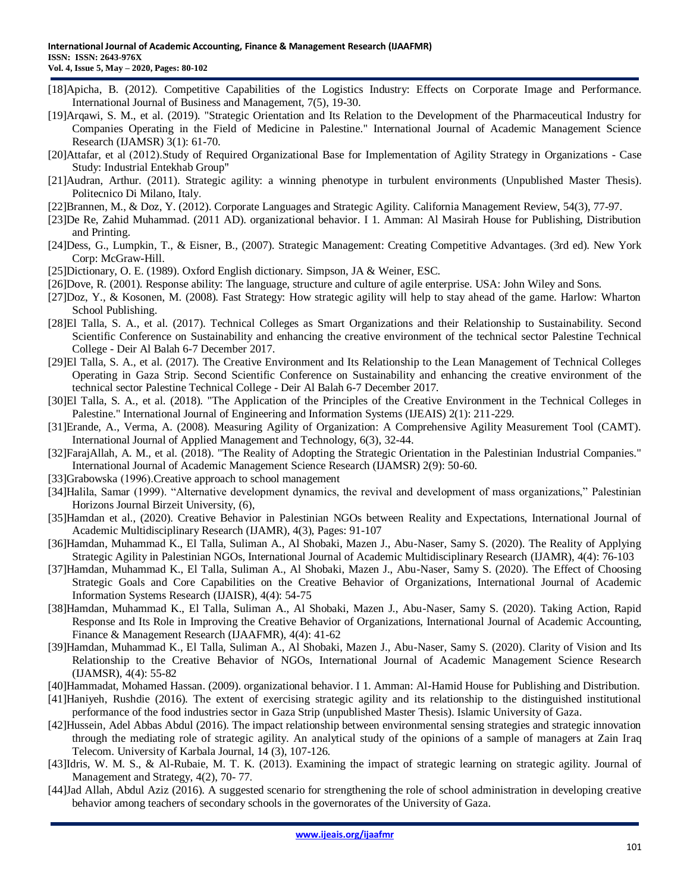- [18]Apicha, B. (2012). Competitive Capabilities of the Logistics Industry: Effects on Corporate Image and Performance. International Journal of Business and Management, 7(5), 19-30.
- [19]Arqawi, S. M., et al. (2019). "Strategic Orientation and Its Relation to the Development of the Pharmaceutical Industry for Companies Operating in the Field of Medicine in Palestine." International Journal of Academic Management Science Research (IJAMSR) 3(1): 61-70.
- [20]Attafar, et al (2012).Study of Required Organizational Base for Implementation of Agility Strategy in Organizations Case Study: Industrial Entekhab Group"
- [21]Audran, Arthur. (2011). Strategic agility: a winning phenotype in turbulent environments (Unpublished Master Thesis). Politecnico Di Milano, Italy.
- [22]Brannen, M., & Doz, Y. (2012). Corporate Languages and Strategic Agility. California Management Review, 54(3), 77-97.
- [23]De Re, Zahid Muhammad. (2011 AD). organizational behavior. I 1. Amman: Al Masirah House for Publishing, Distribution and Printing.
- [24]Dess, G., Lumpkin, T., & Eisner, B., (2007). Strategic Management: Creating Competitive Advantages. (3rd ed). New York Corp: McGraw-Hill.
- [25]Dictionary, O. E. (1989). Oxford English dictionary. Simpson, JA & Weiner, ESC.
- [26]Dove, R. (2001). Response ability: The language, structure and culture of agile enterprise. USA: John Wiley and Sons.
- [27]Doz, Y., & Kosonen, M. (2008). Fast Strategy: How strategic agility will help to stay ahead of the game. Harlow: Wharton School Publishing.
- [28]El Talla, S. A., et al. (2017). Technical Colleges as Smart Organizations and their Relationship to Sustainability. Second Scientific Conference on Sustainability and enhancing the creative environment of the technical sector Palestine Technical College - Deir Al Balah 6-7 December 2017.
- [29]El Talla, S. A., et al. (2017). The Creative Environment and Its Relationship to the Lean Management of Technical Colleges Operating in Gaza Strip. Second Scientific Conference on Sustainability and enhancing the creative environment of the technical sector Palestine Technical College - Deir Al Balah 6-7 December 2017.
- [30]El Talla, S. A., et al. (2018). "The Application of the Principles of the Creative Environment in the Technical Colleges in Palestine." International Journal of Engineering and Information Systems (IJEAIS) 2(1): 211-229.
- [31]Erande, A., Verma, A. (2008). Measuring Agility of Organization: A Comprehensive Agility Measurement Tool (CAMT). International Journal of Applied Management and Technology, 6(3), 32-44.
- [32]FarajAllah, A. M., et al. (2018). "The Reality of Adopting the Strategic Orientation in the Palestinian Industrial Companies." International Journal of Academic Management Science Research (IJAMSR) 2(9): 50-60.
- [33]Grabowska (1996). Creative approach to school management
- [34]Halila, Samar (1999). "Alternative development dynamics, the revival and development of mass organizations," Palestinian Horizons Journal Birzeit University, (6),
- [35]Hamdan et al., (2020). Creative Behavior in Palestinian NGOs between Reality and Expectations, International Journal of Academic Multidisciplinary Research (IJAMR), 4(3), Pages: 91-107
- [36]Hamdan, Muhammad K., El Talla, Suliman A., Al Shobaki, Mazen J., Abu-Naser, Samy S. (2020). The Reality of Applying Strategic Agility in Palestinian NGOs, International Journal of Academic Multidisciplinary Research (IJAMR), 4(4): 76-103
- [37]Hamdan, Muhammad K., El Talla, Suliman A., Al Shobaki, Mazen J., Abu-Naser, Samy S. (2020). The Effect of Choosing Strategic Goals and Core Capabilities on the Creative Behavior of Organizations, International Journal of Academic Information Systems Research (IJAISR), 4(4): 54-75
- [38]Hamdan, Muhammad K., El Talla, Suliman A., Al Shobaki, Mazen J., Abu-Naser, Samy S. (2020). Taking Action, Rapid Response and Its Role in Improving the Creative Behavior of Organizations, International Journal of Academic Accounting, Finance & Management Research (IJAAFMR), 4(4): 41-62
- [39]Hamdan, Muhammad K., El Talla, Suliman A., Al Shobaki, Mazen J., Abu-Naser, Samy S. (2020). Clarity of Vision and Its Relationship to the Creative Behavior of NGOs, International Journal of Academic Management Science Research (IJAMSR), 4(4): 55-82
- [40]Hammadat, Mohamed Hassan. (2009). organizational behavior. I 1. Amman: Al-Hamid House for Publishing and Distribution.
- [41]Haniyeh, Rushdie (2016). The extent of exercising strategic agility and its relationship to the distinguished institutional performance of the food industries sector in Gaza Strip (unpublished Master Thesis). Islamic University of Gaza.
- [42]Hussein, Adel Abbas Abdul (2016). The impact relationship between environmental sensing strategies and strategic innovation through the mediating role of strategic agility. An analytical study of the opinions of a sample of managers at Zain Iraq Telecom. University of Karbala Journal, 14 (3), 107-126.
- [43]Idris, W. M. S., & Al-Rubaie, M. T. K. (2013). Examining the impact of strategic learning on strategic agility. Journal of Management and Strategy, 4(2), 70- 77.
- [44]Jad Allah, Abdul Aziz (2016). A suggested scenario for strengthening the role of school administration in developing creative behavior among teachers of secondary schools in the governorates of the University of Gaza.